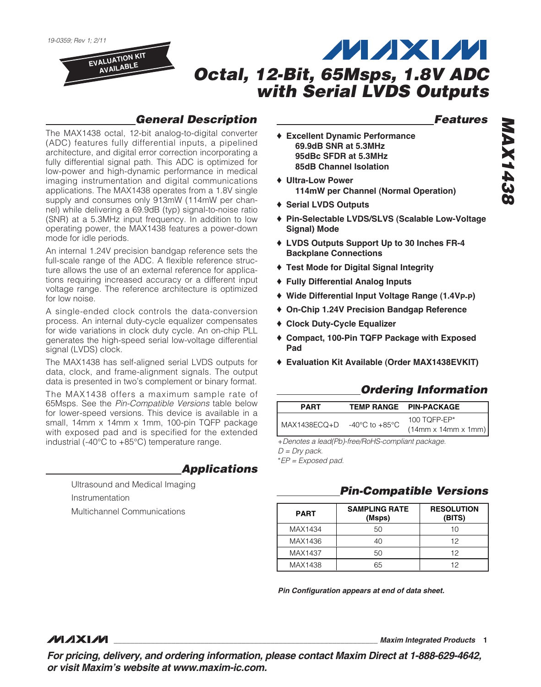**EVALUATION KIT AVAILABLE**

# **MAXM Octal, 12-Bit, 65Msps, 1.8V ADC with Serial LVDS Outputs**

## **General Description**

The MAX1438 octal, 12-bit analog-to-digital converter (ADC) features fully differential inputs, a pipelined architecture, and digital error correction incorporating a fully differential signal path. This ADC is optimized for low-power and high-dynamic performance in medical imaging instrumentation and digital communications applications. The MAX1438 operates from a 1.8V single supply and consumes only 913mW (114mW per channel) while delivering a 69.9dB (typ) signal-to-noise ratio (SNR) at a 5.3MHz input frequency. In addition to low operating power, the MAX1438 features a power-down mode for idle periods.

An internal 1.24V precision bandgap reference sets the full-scale range of the ADC. A flexible reference structure allows the use of an external reference for applications requiring increased accuracy or a different input voltage range. The reference architecture is optimized for low noise.

A single-ended clock controls the data-conversion process. An internal duty-cycle equalizer compensates for wide variations in clock duty cycle. An on-chip PLL generates the high-speed serial low-voltage differential signal (LVDS) clock.

The MAX1438 has self-aligned serial LVDS outputs for data, clock, and frame-alignment signals. The output data is presented in two's complement or binary format.

The MAX1438 offers a maximum sample rate of 65Msps. See the Pin-Compatible Versions table below for lower-speed versions. This device is available in a small, 14mm x 14mm x 1mm, 100-pin TQFP package with exposed pad and is specified for the extended industrial (-40°C to +85°C) temperature range.

## **Applications**

Ultrasound and Medical Imaging Instrumentation Multichannel Communications

## **Features**

- ♦ **Excellent Dynamic Performance 69.9dB SNR at 5.3MHz 95dBc SFDR at 5.3MHz 85dB Channel Isolation**
- ♦ **Ultra-Low Power 114mW per Channel (Normal Operation)**
- ♦ **Serial LVDS Outputs**
- ♦ **Pin-Selectable LVDS/SLVS (Scalable Low-Voltage Signal) Mode**
- ♦ **LVDS Outputs Support Up to 30 Inches FR-4 Backplane Connections**
- ♦ **Test Mode for Digital Signal Integrity**
- ♦ **Fully Differential Analog Inputs**
- ♦ **Wide Differential Input Voltage Range (1.4VP-P)**
- ♦ **On-Chip 1.24V Precision Bandgap Reference**
- ♦ **Clock Duty-Cycle Equalizer**
- ♦ **Compact, 100-Pin TQFP Package with Exposed Pad**
- ♦ **Evaluation Kit Available (Order MAX1438EVKIT)**

## **Ordering Information**

| <b>PART</b>  |                | <b>TEMP RANGE PIN-PACKAGE</b>                      |
|--------------|----------------|----------------------------------------------------|
| MAX1438ECQ+D | -40°C to +85°C | 100 TOFP-EP $*$<br>$(14mm \times 14mm \times 1mm)$ |

+Denotes a lead(Pb)-free/RoHS-compliant package.  $D = Dry$  pack.

\*EP = Exposed pad.

### **Pin-Compatible Versions**

| <b>PART</b> | <b>SAMPLING RATE</b><br>(Msps) | <b>RESOLUTION</b><br>(BITS) |
|-------------|--------------------------------|-----------------------------|
| MAX1434     | 50                             | 10                          |
| MAX1436     | 40                             | 12                          |
| MAX1437     | 50                             | 12                          |
| MAX1438     | 65                             | 12                          |

**Pin Configuration appears at end of data sheet.**

#### **MAXM**

**\_\_\_\_\_\_\_\_\_\_\_\_\_\_\_\_\_\_\_\_\_\_\_\_\_\_\_\_\_\_\_\_\_\_\_\_\_\_\_\_\_\_\_\_\_\_\_\_\_\_\_\_\_\_\_\_\_\_\_\_\_\_\_\_ Maxim Integrated Products 1**

**For pricing, delivery, and ordering information, please contact Maxim Direct at 1-888-629-4642, or visit Maxim's website at www.maxim-ic.com.**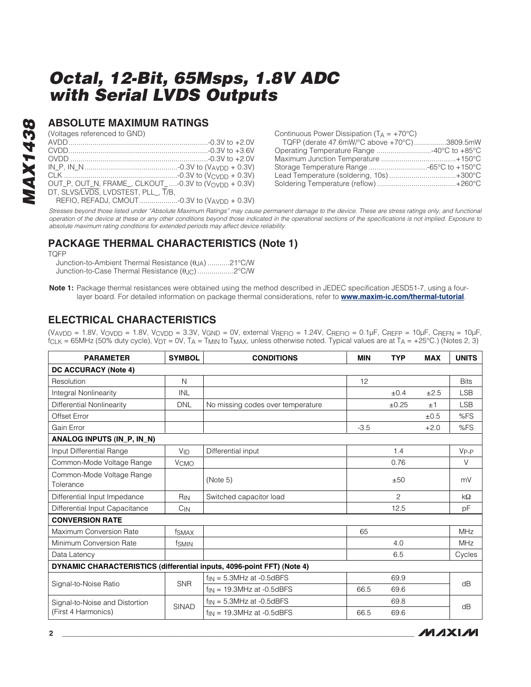## **ABSOLUTE MAXIMUM RATINGS**

(Voltages referenced to GND)

| OUT_P, OUT_N, FRAME_, CLKOUT_-0.3V to (VOVDD + 0.3V) |  |
|------------------------------------------------------|--|
| DT, SLVS/LVDS, LVDSTEST, PLL_, T/B,                  |  |
| REFIO, REFADJ, CMOUT-0.3V to (VAVDD + 0.3V)          |  |

Continuous Power Dissipation  $(T_A = +70^{\circ}C)$ TQFP (derate 47.6mW/°C above +70°C)................3809.5mW Operating Temperature Range ...........................-40°C to +85°C Maximum Junction Temperature .....................................+150°C Storage Temperature Range .............................-65°C to +150°C Lead Temperature (soldering, 10s) .................................+300°C Soldering Temperature (reflow) .......................................+260°C

Stresses beyond those listed under "Absolute Maximum Ratings" may cause permanent damage to the device. These are stress ratings only, and functional operation of the device at these or any other conditions beyond those indicated in the operational sections of the specifications is not implied. Exposure to absolute maximum rating conditions for extended periods may affect device reliability.

## **PACKAGE THERMAL CHARACTERISTICS (Note 1)**

TQFP

**MAX1438**

**MAX1438** 

Junction-to-Ambient Thermal Resistance (θJA) ...........21°C/W Junction-to-Case Thermal Resistance (θJC) ..................2°C/W

**Note 1:** Package thermal resistances were obtained using the method described in JEDEC specification JESD51-7, using a fourlayer board. For detailed information on package thermal considerations, refer to **[www.maxim-ic.com/thermal-tutoria](http://www.maxim-ic.com/thermal-tutorial)l**.

## **ELECTRICAL CHARACTERISTICS**

 $(V_{AVDD} = 1.8V, V_{OVDD} = 1.8V, V_{CVDD} = 3.3V, V_{GND} = 0V,$  external  $V_{REFIO} = 1.24V, C_{REFIO} = 0.1 \mu F, C_{REFD} = 10 \mu F, C_{REFD} = 10 \mu F,$  $f_{CLK}$  = 65MHz (50% duty cycle),  $V_{DT}$  = 0V, T<sub>A</sub> = T<sub>MIN</sub> to T<sub>MAX</sub>, unless otherwise noted. Typical values are at T<sub>A</sub> = +25°C.) (Notes 2, 3)

| <b>PARAMETER</b>                                                       | <b>SYMBOL</b>          | <b>CONDITIONS</b>                 |        | <b>TYP</b> | <b>MAX</b> | <b>UNITS</b> |
|------------------------------------------------------------------------|------------------------|-----------------------------------|--------|------------|------------|--------------|
| DC ACCURACY (Note 4)                                                   |                        |                                   |        |            |            |              |
| Resolution                                                             | N                      |                                   | 12     |            |            | <b>Bits</b>  |
| <b>Integral Nonlinearity</b>                                           | <b>INL</b>             |                                   |        | ±0.4       | ±2.5       | <b>LSB</b>   |
| <b>Differential Nonlinearity</b>                                       | <b>DNL</b>             | No missing codes over temperature |        | ±0.25      | ±1         | <b>LSB</b>   |
| Offset Error                                                           |                        |                                   |        |            | ±0.5       | %FS          |
| Gain Error                                                             |                        |                                   | $-3.5$ |            | $+2.0$     | %FS          |
| ANALOG INPUTS (IN_P, IN_N)                                             |                        |                                   |        |            |            |              |
| Input Differential Range                                               | <b>V<sub>ID</sub></b>  | Differential input                |        | 1.4        |            | $V_{P-P}$    |
| Common-Mode Voltage Range                                              | <b>V<sub>CMO</sub></b> |                                   |        | 0.76       |            | $\vee$       |
| Common-Mode Voltage Range<br>Tolerance                                 |                        | (Note 5)                          |        | ±50        |            | mV           |
| Differential Input Impedance                                           | $R_{IN}$               | Switched capacitor load           |        | 2          |            | kΩ           |
| Differential Input Capacitance                                         | $C_{IN}$               |                                   |        | 12.5       |            | pF           |
| <b>CONVERSION RATE</b>                                                 |                        |                                   |        |            |            |              |
| Maximum Conversion Rate                                                | f <sub>SMAX</sub>      |                                   | 65     |            |            | <b>MHz</b>   |
| Minimum Conversion Rate                                                | f <sub>SMIN</sub>      |                                   |        | 4.0        |            | <b>MHz</b>   |
| Data Latency                                                           |                        |                                   |        | 6.5        |            | Cycles       |
| DYNAMIC CHARACTERISTICS (differential inputs, 4096-point FFT) (Note 4) |                        |                                   |        |            |            |              |
| Signal-to-Noise Ratio                                                  | <b>SNR</b>             | $f_{IN} = 5.3$ MHz at -0.5dBFS    |        | 69.9       |            | dB           |
|                                                                        |                        | $f_{IN}$ = 19.3MHz at -0.5dBFS    | 66.5   | 69.6       |            |              |
| Signal-to-Noise and Distortion                                         | <b>SINAD</b>           | $f_{IN} = 5.3$ MHz at -0.5dBFS    |        | 69.8       |            | dB           |
| (First 4 Harmonics)                                                    |                        | $f_{IN}$ = 19.3MHz at -0.5dBFS    | 66.5   | 69.6       |            |              |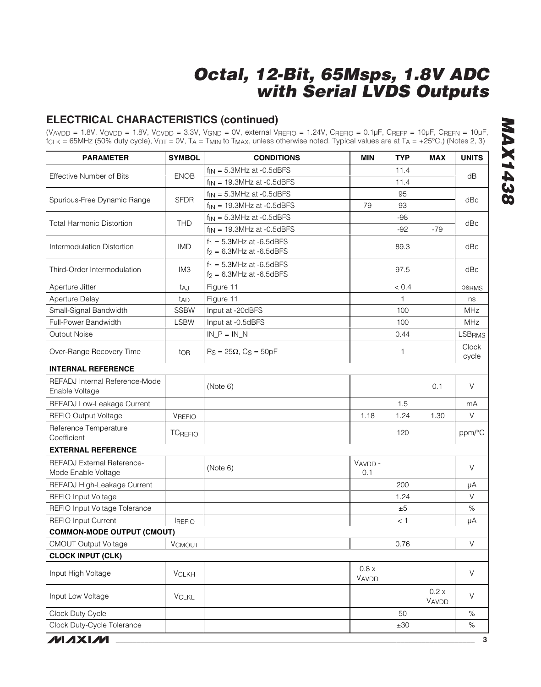## **ELECTRICAL CHARACTERISTICS (continued)**

 $(V_{AVDD} = 1.8V, V_{OVDD} = 1.8V, V_{CVDD} = 3.3V, V_{GND} = 0V,$  external  $V_{REFIO} = 1.24V, C_{REFIO} = 0.1 \mu F, C_{REFP} = 10 \mu F, C_{REFN} = 10 \mu F,$  $f_{CLK} = 65$ MHz (50% duty cycle),  $V_{DT} = 0$ V,  $T_A = T_{MIN}$  to  $T_{MAX}$ , unless otherwise noted. Typical values are at  $T_A = +25^{\circ}$ C.) (Notes 2, 3)

| <b>PARAMETER</b>                                  | <b>SYMBOL</b>   | <b>CONDITIONS</b>                                          | <b>MIN</b>     | <b>TYP</b> | <b>MAX</b>     | <b>UNITS</b>   |  |
|---------------------------------------------------|-----------------|------------------------------------------------------------|----------------|------------|----------------|----------------|--|
|                                                   |                 | $f_{\text{IN}} = 5.3$ MHz at -0.5dBFS                      |                | 11.4       |                |                |  |
| <b>Effective Number of Bits</b>                   | <b>ENOB</b>     | $f_{IN}$ = 19.3MHz at -0.5dBFS                             |                | 11.4       |                | dB             |  |
|                                                   |                 | $f_{IN} = 5.3$ MHz at -0.5dBFS                             |                | 95         |                |                |  |
| Spurious-Free Dynamic Range                       | <b>SFDR</b>     | $f_{\text{IN}}$ = 19.3MHz at -0.5dBFS                      | 79             | 93         |                | dBc            |  |
|                                                   |                 | $f_{\text{IN}} = 5.3$ MHz at -0.5dBFS                      |                | $-98$      |                |                |  |
| <b>Total Harmonic Distortion</b>                  | <b>THD</b>      | $f_{\text{IN}}$ = 19.3MHz at -0.5dBFS                      |                | $-92$      | $-79$          | dBc            |  |
| Intermodulation Distortion                        | <b>IMD</b>      | $f_1 = 5.3$ MHz at -6.5dBFS<br>$f_2 = 6.3$ MHz at -6.5dBFS |                | 89.3       |                | dBc            |  |
| Third-Order Intermodulation                       | IM <sub>3</sub> | $f_1 = 5.3$ MHz at -6.5dBFS<br>$f_2 = 6.3$ MHz at -6.5dBFS |                | 97.5       |                | dBc            |  |
| Aperture Jitter                                   | taj             | Figure 11                                                  |                | < 0.4      |                | <b>psRMS</b>   |  |
| Aperture Delay                                    | t <sub>AD</sub> | Figure 11                                                  |                | 1          |                | ns             |  |
| Small-Signal Bandwidth                            | <b>SSBW</b>     | Input at -20dBFS                                           |                | 100        |                | MHz            |  |
| Full-Power Bandwidth                              | <b>LSBW</b>     | Input at -0.5dBFS                                          |                | 100        |                | MHz            |  |
| Output Noise                                      |                 | $IN_P = IN_N$                                              |                | 0.44       |                | <b>LSBRMS</b>  |  |
| Over-Range Recovery Time                          | tor             | $R_S = 25\Omega$ , $C_S = 50pF$                            |                | 1          |                | Clock<br>cycle |  |
| <b>INTERNAL REFERENCE</b>                         |                 |                                                            |                |            |                |                |  |
| REFADJ Internal Reference-Mode<br>Enable Voltage  |                 | (Note 6)                                                   |                |            | 0.1            | V              |  |
| REFADJ Low-Leakage Current                        |                 |                                                            |                | 1.5        |                | mA             |  |
| REFIO Output Voltage                              | <b>VREFIO</b>   |                                                            | 1.18           | 1.24       | 1.30           | V              |  |
| Reference Temperature<br>Coefficient              | <b>TCREFIO</b>  |                                                            |                | 120        |                | ppm/°C         |  |
| <b>EXTERNAL REFERENCE</b>                         |                 |                                                            |                |            |                |                |  |
| REFADJ External Reference-<br>Mode Enable Voltage |                 | (Note 6)                                                   | VAVDD-<br>0.1  |            |                | V              |  |
| REFADJ High-Leakage Current                       |                 |                                                            |                | 200        |                | μA             |  |
| REFIO Input Voltage                               |                 |                                                            |                | 1.24       |                | $\vee$         |  |
| REFIO Input Voltage Tolerance                     |                 |                                                            |                | ±5         |                | $\%$           |  |
| <b>REFIO Input Current</b>                        | <b>REFIO</b>    |                                                            |                | < 1        |                | μA             |  |
| <b>COMMON-MODE OUTPUT (CMOUT)</b>                 |                 |                                                            |                |            |                |                |  |
| <b>CMOUT Output Voltage</b>                       | VCMOUT          |                                                            |                | 0.76       |                | V              |  |
| <b>CLOCK INPUT (CLK)</b>                          |                 |                                                            |                |            |                |                |  |
| Input High Voltage                                | <b>VCLKH</b>    |                                                            | 0.8 x<br>VAVDD |            |                | $\vee$         |  |
| Input Low Voltage                                 | <b>VCLKL</b>    |                                                            |                |            | 0.2 x<br>VAVDD | V              |  |
| Clock Duty Cycle                                  |                 |                                                            |                | 50         |                | $\%$           |  |
| Clock Duty-Cycle Tolerance                        |                 |                                                            |                | ±30        |                | $\%$           |  |
| <b>MAXM</b>                                       |                 |                                                            |                |            |                | $\mathbf{3}$   |  |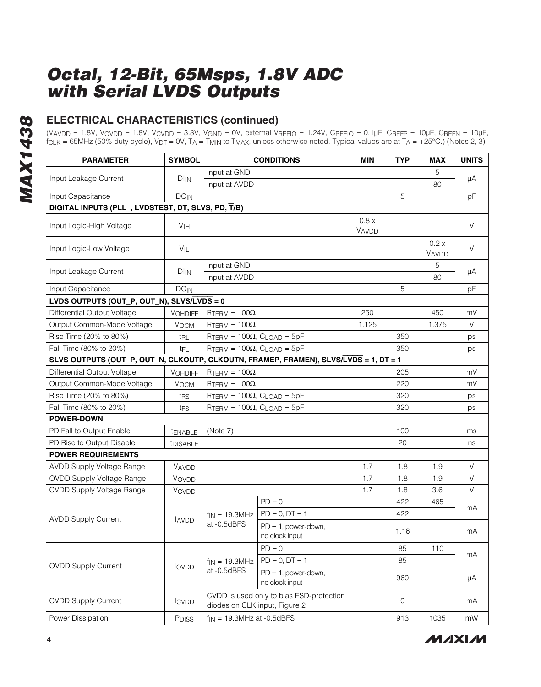**MAX1438 MAX1438**

## **ELECTRICAL CHARACTERISTICS (continued)**

(VAVDD = 1.8V, VOVDD = 1.8V, VCVDD = 3.3V, VGND = 0V, external VREFIO = 1.24V, CREFIO = 0.1µF, CREFP = 10µF, CREFN = 10µF, f<sub>CLK</sub> = 65MHz (50% duty cycle), V<sub>DT</sub> = 0V, T<sub>A</sub> = T<sub>MIN</sub> to T<sub>MAX</sub>, unless otherwise noted. Typical values are at T<sub>A</sub> = +25°C.) (Notes 2, 3)

| Input at GND<br>5<br>Input Leakage Current<br>$DI_{IN}$<br>μA<br>Input at AVDD<br>80<br>5<br>Input Capacitance<br>$DC_{IN}$<br>pF<br>DIGITAL INPUTS (PLL_, LVDSTEST, DT, SLVS, PD, T/B)<br>0.8 x<br>V<br>Input Logic-High Voltage<br><b>V<sub>IH</sub></b><br>VAVDD<br>0.2 x<br>V<br>Input Logic-Low Voltage<br>VIL<br>VAVDD<br>Input at GND<br>5<br>Input Leakage Current<br>$DI_{IN}$<br>μA<br>Input at AVDD<br>80<br>5<br>Input Capacitance<br>$DC_{IN}$<br>pF<br>LVDS OUTPUTS (OUT_P, OUT_N), SLVS/LVDS = 0<br>Differential Output Voltage<br>250<br>450<br><b>VOHDIFF</b><br>$RTERM = 100\Omega$<br>mV<br>V<br>Output Common-Mode Voltage<br>1.125<br>1.375<br><b>VOCM</b><br>$R$ TERM = 100 $\Omega$<br>Rise Time (20% to 80%)<br>350<br>$R$ TERM = 100 $\Omega$ , C <sub>LOAD</sub> = 5pF<br>t <sub>RL</sub><br>ps<br>Fall Time (80% to 20%)<br>350<br>$RTERM = 100\Omega$ , $CLOAD = 5pF$<br>t <sub>FL</sub><br>ps<br>SLVS OUTPUTS (OUT_P, OUT_N, CLKOUTP, CLKOUTN, FRAMEP, FRAMEN), SLVS/LVDS = 1, DT = 1<br>Differential Output Voltage<br>$R$ TERM = 100 $\Omega$<br>205<br>mV<br><b>VOHDIFF</b><br>Output Common-Mode Voltage<br>220<br>$V_{OCM}$<br>$R$ TERM = 100 $\Omega$<br>mV<br>Rise Time (20% to 80%)<br>$R$ TERM = 100 $\Omega$ , CLOAD = 5pF<br>320<br>t <sub>RS</sub><br>ps<br>Fall Time (80% to 20%)<br>$RTERM = 100\Omega$ , $CLOAD = 5pF$<br>320<br>t <sub>FS</sub><br>ps<br>POWER-DOWN<br>PD Fall to Output Enable<br>100<br>(Note 7)<br>tENABLE<br>ms<br>PD Rise to Output Disable<br>20<br><b><i><u>IDISABLE</u></i></b><br>ns<br><b>POWER REQUIREMENTS</b><br>V<br>AVDD Supply Voltage Range<br>1.7<br>1.8<br>1.9<br>VAVDD<br>V<br><b>OVDD Supply Voltage Range</b><br>1.7<br>1.9<br>VOVDD<br>1.8<br>V<br>CVDD Supply Voltage Range<br>1.7<br><b>VCVDD</b><br>1.8<br>3.6<br>$PD = 0$<br>422<br>465<br>mA<br>$PD = 0$ , $DT = 1$<br>422<br>$f_{IN}$ = 19.3MHz<br><b>AVDD Supply Current</b><br><b>AVDD</b><br>at -0.5dBFS<br>$PD = 1$ , power-down,<br>1.16<br>mA<br>no clock input<br>$PD = 0$<br>85<br>110<br>mA<br>$PD = 0$ , $DT = 1$<br>85<br>$f_{IN} = 19.3 MHz$<br><b>OVDD Supply Current</b><br>lovpp<br>at -0.5dBFS<br>$PD = 1$ , power-down,<br>960<br>μA<br>no clock input<br>CVDD is used only to bias ESD-protection<br><b>CVDD Supply Current</b><br>0<br><b>ICVDD</b><br>mA<br>diodes on CLK input, Figure 2<br>$f_{IN}$ = 19.3MHz at -0.5dBFS<br>913<br>1035<br>Power Dissipation<br>mW<br>P <sub>DISS</sub> | <b>PARAMETER</b> | <b>SYMBOL</b> |  | <b>CONDITIONS</b> | <b>MIN</b> | <b>TYP</b> | <b>MAX</b> | <b>UNITS</b> |  |
|----------------------------------------------------------------------------------------------------------------------------------------------------------------------------------------------------------------------------------------------------------------------------------------------------------------------------------------------------------------------------------------------------------------------------------------------------------------------------------------------------------------------------------------------------------------------------------------------------------------------------------------------------------------------------------------------------------------------------------------------------------------------------------------------------------------------------------------------------------------------------------------------------------------------------------------------------------------------------------------------------------------------------------------------------------------------------------------------------------------------------------------------------------------------------------------------------------------------------------------------------------------------------------------------------------------------------------------------------------------------------------------------------------------------------------------------------------------------------------------------------------------------------------------------------------------------------------------------------------------------------------------------------------------------------------------------------------------------------------------------------------------------------------------------------------------------------------------------------------------------------------------------------------------------------------------------------------------------------------------------------------------------------------------------------------------------------------------------------------------------------------------------------------------------------------------------------------------------------------------------------------------------------------------------------------------------------------------------------------------------------------------------------------------------------------------------------------|------------------|---------------|--|-------------------|------------|------------|------------|--------------|--|
|                                                                                                                                                                                                                                                                                                                                                                                                                                                                                                                                                                                                                                                                                                                                                                                                                                                                                                                                                                                                                                                                                                                                                                                                                                                                                                                                                                                                                                                                                                                                                                                                                                                                                                                                                                                                                                                                                                                                                                                                                                                                                                                                                                                                                                                                                                                                                                                                                                                          |                  |               |  |                   |            |            |            |              |  |
|                                                                                                                                                                                                                                                                                                                                                                                                                                                                                                                                                                                                                                                                                                                                                                                                                                                                                                                                                                                                                                                                                                                                                                                                                                                                                                                                                                                                                                                                                                                                                                                                                                                                                                                                                                                                                                                                                                                                                                                                                                                                                                                                                                                                                                                                                                                                                                                                                                                          |                  |               |  |                   |            |            |            |              |  |
|                                                                                                                                                                                                                                                                                                                                                                                                                                                                                                                                                                                                                                                                                                                                                                                                                                                                                                                                                                                                                                                                                                                                                                                                                                                                                                                                                                                                                                                                                                                                                                                                                                                                                                                                                                                                                                                                                                                                                                                                                                                                                                                                                                                                                                                                                                                                                                                                                                                          |                  |               |  |                   |            |            |            |              |  |
|                                                                                                                                                                                                                                                                                                                                                                                                                                                                                                                                                                                                                                                                                                                                                                                                                                                                                                                                                                                                                                                                                                                                                                                                                                                                                                                                                                                                                                                                                                                                                                                                                                                                                                                                                                                                                                                                                                                                                                                                                                                                                                                                                                                                                                                                                                                                                                                                                                                          |                  |               |  |                   |            |            |            |              |  |
|                                                                                                                                                                                                                                                                                                                                                                                                                                                                                                                                                                                                                                                                                                                                                                                                                                                                                                                                                                                                                                                                                                                                                                                                                                                                                                                                                                                                                                                                                                                                                                                                                                                                                                                                                                                                                                                                                                                                                                                                                                                                                                                                                                                                                                                                                                                                                                                                                                                          |                  |               |  |                   |            |            |            |              |  |
|                                                                                                                                                                                                                                                                                                                                                                                                                                                                                                                                                                                                                                                                                                                                                                                                                                                                                                                                                                                                                                                                                                                                                                                                                                                                                                                                                                                                                                                                                                                                                                                                                                                                                                                                                                                                                                                                                                                                                                                                                                                                                                                                                                                                                                                                                                                                                                                                                                                          |                  |               |  |                   |            |            |            |              |  |
|                                                                                                                                                                                                                                                                                                                                                                                                                                                                                                                                                                                                                                                                                                                                                                                                                                                                                                                                                                                                                                                                                                                                                                                                                                                                                                                                                                                                                                                                                                                                                                                                                                                                                                                                                                                                                                                                                                                                                                                                                                                                                                                                                                                                                                                                                                                                                                                                                                                          |                  |               |  |                   |            |            |            |              |  |
|                                                                                                                                                                                                                                                                                                                                                                                                                                                                                                                                                                                                                                                                                                                                                                                                                                                                                                                                                                                                                                                                                                                                                                                                                                                                                                                                                                                                                                                                                                                                                                                                                                                                                                                                                                                                                                                                                                                                                                                                                                                                                                                                                                                                                                                                                                                                                                                                                                                          |                  |               |  |                   |            |            |            |              |  |
|                                                                                                                                                                                                                                                                                                                                                                                                                                                                                                                                                                                                                                                                                                                                                                                                                                                                                                                                                                                                                                                                                                                                                                                                                                                                                                                                                                                                                                                                                                                                                                                                                                                                                                                                                                                                                                                                                                                                                                                                                                                                                                                                                                                                                                                                                                                                                                                                                                                          |                  |               |  |                   |            |            |            |              |  |
|                                                                                                                                                                                                                                                                                                                                                                                                                                                                                                                                                                                                                                                                                                                                                                                                                                                                                                                                                                                                                                                                                                                                                                                                                                                                                                                                                                                                                                                                                                                                                                                                                                                                                                                                                                                                                                                                                                                                                                                                                                                                                                                                                                                                                                                                                                                                                                                                                                                          |                  |               |  |                   |            |            |            |              |  |
|                                                                                                                                                                                                                                                                                                                                                                                                                                                                                                                                                                                                                                                                                                                                                                                                                                                                                                                                                                                                                                                                                                                                                                                                                                                                                                                                                                                                                                                                                                                                                                                                                                                                                                                                                                                                                                                                                                                                                                                                                                                                                                                                                                                                                                                                                                                                                                                                                                                          |                  |               |  |                   |            |            |            |              |  |
|                                                                                                                                                                                                                                                                                                                                                                                                                                                                                                                                                                                                                                                                                                                                                                                                                                                                                                                                                                                                                                                                                                                                                                                                                                                                                                                                                                                                                                                                                                                                                                                                                                                                                                                                                                                                                                                                                                                                                                                                                                                                                                                                                                                                                                                                                                                                                                                                                                                          |                  |               |  |                   |            |            |            |              |  |
|                                                                                                                                                                                                                                                                                                                                                                                                                                                                                                                                                                                                                                                                                                                                                                                                                                                                                                                                                                                                                                                                                                                                                                                                                                                                                                                                                                                                                                                                                                                                                                                                                                                                                                                                                                                                                                                                                                                                                                                                                                                                                                                                                                                                                                                                                                                                                                                                                                                          |                  |               |  |                   |            |            |            |              |  |
|                                                                                                                                                                                                                                                                                                                                                                                                                                                                                                                                                                                                                                                                                                                                                                                                                                                                                                                                                                                                                                                                                                                                                                                                                                                                                                                                                                                                                                                                                                                                                                                                                                                                                                                                                                                                                                                                                                                                                                                                                                                                                                                                                                                                                                                                                                                                                                                                                                                          |                  |               |  |                   |            |            |            |              |  |
|                                                                                                                                                                                                                                                                                                                                                                                                                                                                                                                                                                                                                                                                                                                                                                                                                                                                                                                                                                                                                                                                                                                                                                                                                                                                                                                                                                                                                                                                                                                                                                                                                                                                                                                                                                                                                                                                                                                                                                                                                                                                                                                                                                                                                                                                                                                                                                                                                                                          |                  |               |  |                   |            |            |            |              |  |
|                                                                                                                                                                                                                                                                                                                                                                                                                                                                                                                                                                                                                                                                                                                                                                                                                                                                                                                                                                                                                                                                                                                                                                                                                                                                                                                                                                                                                                                                                                                                                                                                                                                                                                                                                                                                                                                                                                                                                                                                                                                                                                                                                                                                                                                                                                                                                                                                                                                          |                  |               |  |                   |            |            |            |              |  |
|                                                                                                                                                                                                                                                                                                                                                                                                                                                                                                                                                                                                                                                                                                                                                                                                                                                                                                                                                                                                                                                                                                                                                                                                                                                                                                                                                                                                                                                                                                                                                                                                                                                                                                                                                                                                                                                                                                                                                                                                                                                                                                                                                                                                                                                                                                                                                                                                                                                          |                  |               |  |                   |            |            |            |              |  |
|                                                                                                                                                                                                                                                                                                                                                                                                                                                                                                                                                                                                                                                                                                                                                                                                                                                                                                                                                                                                                                                                                                                                                                                                                                                                                                                                                                                                                                                                                                                                                                                                                                                                                                                                                                                                                                                                                                                                                                                                                                                                                                                                                                                                                                                                                                                                                                                                                                                          |                  |               |  |                   |            |            |            |              |  |
|                                                                                                                                                                                                                                                                                                                                                                                                                                                                                                                                                                                                                                                                                                                                                                                                                                                                                                                                                                                                                                                                                                                                                                                                                                                                                                                                                                                                                                                                                                                                                                                                                                                                                                                                                                                                                                                                                                                                                                                                                                                                                                                                                                                                                                                                                                                                                                                                                                                          |                  |               |  |                   |            |            |            |              |  |
|                                                                                                                                                                                                                                                                                                                                                                                                                                                                                                                                                                                                                                                                                                                                                                                                                                                                                                                                                                                                                                                                                                                                                                                                                                                                                                                                                                                                                                                                                                                                                                                                                                                                                                                                                                                                                                                                                                                                                                                                                                                                                                                                                                                                                                                                                                                                                                                                                                                          |                  |               |  |                   |            |            |            |              |  |
|                                                                                                                                                                                                                                                                                                                                                                                                                                                                                                                                                                                                                                                                                                                                                                                                                                                                                                                                                                                                                                                                                                                                                                                                                                                                                                                                                                                                                                                                                                                                                                                                                                                                                                                                                                                                                                                                                                                                                                                                                                                                                                                                                                                                                                                                                                                                                                                                                                                          |                  |               |  |                   |            |            |            |              |  |
|                                                                                                                                                                                                                                                                                                                                                                                                                                                                                                                                                                                                                                                                                                                                                                                                                                                                                                                                                                                                                                                                                                                                                                                                                                                                                                                                                                                                                                                                                                                                                                                                                                                                                                                                                                                                                                                                                                                                                                                                                                                                                                                                                                                                                                                                                                                                                                                                                                                          |                  |               |  |                   |            |            |            |              |  |
|                                                                                                                                                                                                                                                                                                                                                                                                                                                                                                                                                                                                                                                                                                                                                                                                                                                                                                                                                                                                                                                                                                                                                                                                                                                                                                                                                                                                                                                                                                                                                                                                                                                                                                                                                                                                                                                                                                                                                                                                                                                                                                                                                                                                                                                                                                                                                                                                                                                          |                  |               |  |                   |            |            |            |              |  |
|                                                                                                                                                                                                                                                                                                                                                                                                                                                                                                                                                                                                                                                                                                                                                                                                                                                                                                                                                                                                                                                                                                                                                                                                                                                                                                                                                                                                                                                                                                                                                                                                                                                                                                                                                                                                                                                                                                                                                                                                                                                                                                                                                                                                                                                                                                                                                                                                                                                          |                  |               |  |                   |            |            |            |              |  |
|                                                                                                                                                                                                                                                                                                                                                                                                                                                                                                                                                                                                                                                                                                                                                                                                                                                                                                                                                                                                                                                                                                                                                                                                                                                                                                                                                                                                                                                                                                                                                                                                                                                                                                                                                                                                                                                                                                                                                                                                                                                                                                                                                                                                                                                                                                                                                                                                                                                          |                  |               |  |                   |            |            |            |              |  |
|                                                                                                                                                                                                                                                                                                                                                                                                                                                                                                                                                                                                                                                                                                                                                                                                                                                                                                                                                                                                                                                                                                                                                                                                                                                                                                                                                                                                                                                                                                                                                                                                                                                                                                                                                                                                                                                                                                                                                                                                                                                                                                                                                                                                                                                                                                                                                                                                                                                          |                  |               |  |                   |            |            |            |              |  |
|                                                                                                                                                                                                                                                                                                                                                                                                                                                                                                                                                                                                                                                                                                                                                                                                                                                                                                                                                                                                                                                                                                                                                                                                                                                                                                                                                                                                                                                                                                                                                                                                                                                                                                                                                                                                                                                                                                                                                                                                                                                                                                                                                                                                                                                                                                                                                                                                                                                          |                  |               |  |                   |            |            |            |              |  |
|                                                                                                                                                                                                                                                                                                                                                                                                                                                                                                                                                                                                                                                                                                                                                                                                                                                                                                                                                                                                                                                                                                                                                                                                                                                                                                                                                                                                                                                                                                                                                                                                                                                                                                                                                                                                                                                                                                                                                                                                                                                                                                                                                                                                                                                                                                                                                                                                                                                          |                  |               |  |                   |            |            |            |              |  |
|                                                                                                                                                                                                                                                                                                                                                                                                                                                                                                                                                                                                                                                                                                                                                                                                                                                                                                                                                                                                                                                                                                                                                                                                                                                                                                                                                                                                                                                                                                                                                                                                                                                                                                                                                                                                                                                                                                                                                                                                                                                                                                                                                                                                                                                                                                                                                                                                                                                          |                  |               |  |                   |            |            |            |              |  |
|                                                                                                                                                                                                                                                                                                                                                                                                                                                                                                                                                                                                                                                                                                                                                                                                                                                                                                                                                                                                                                                                                                                                                                                                                                                                                                                                                                                                                                                                                                                                                                                                                                                                                                                                                                                                                                                                                                                                                                                                                                                                                                                                                                                                                                                                                                                                                                                                                                                          |                  |               |  |                   |            |            |            |              |  |
|                                                                                                                                                                                                                                                                                                                                                                                                                                                                                                                                                                                                                                                                                                                                                                                                                                                                                                                                                                                                                                                                                                                                                                                                                                                                                                                                                                                                                                                                                                                                                                                                                                                                                                                                                                                                                                                                                                                                                                                                                                                                                                                                                                                                                                                                                                                                                                                                                                                          |                  |               |  |                   |            |            |            |              |  |
|                                                                                                                                                                                                                                                                                                                                                                                                                                                                                                                                                                                                                                                                                                                                                                                                                                                                                                                                                                                                                                                                                                                                                                                                                                                                                                                                                                                                                                                                                                                                                                                                                                                                                                                                                                                                                                                                                                                                                                                                                                                                                                                                                                                                                                                                                                                                                                                                                                                          |                  |               |  |                   |            |            |            |              |  |
|                                                                                                                                                                                                                                                                                                                                                                                                                                                                                                                                                                                                                                                                                                                                                                                                                                                                                                                                                                                                                                                                                                                                                                                                                                                                                                                                                                                                                                                                                                                                                                                                                                                                                                                                                                                                                                                                                                                                                                                                                                                                                                                                                                                                                                                                                                                                                                                                                                                          |                  |               |  |                   |            |            |            |              |  |
|                                                                                                                                                                                                                                                                                                                                                                                                                                                                                                                                                                                                                                                                                                                                                                                                                                                                                                                                                                                                                                                                                                                                                                                                                                                                                                                                                                                                                                                                                                                                                                                                                                                                                                                                                                                                                                                                                                                                                                                                                                                                                                                                                                                                                                                                                                                                                                                                                                                          |                  |               |  |                   |            |            |            |              |  |
|                                                                                                                                                                                                                                                                                                                                                                                                                                                                                                                                                                                                                                                                                                                                                                                                                                                                                                                                                                                                                                                                                                                                                                                                                                                                                                                                                                                                                                                                                                                                                                                                                                                                                                                                                                                                                                                                                                                                                                                                                                                                                                                                                                                                                                                                                                                                                                                                                                                          |                  |               |  |                   |            |            |            |              |  |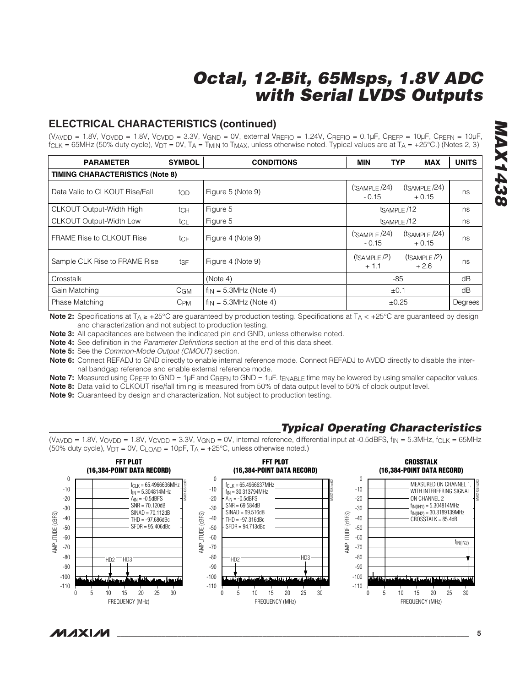## **ELECTRICAL CHARACTERISTICS (continued)**

(VAVDD = 1.8V, VOVDD = 1.8V, VCVDD = 3.3V, VGND = 0V, external VREFIO = 1.24V, CREFIO = 0.1µF, CREFP = 10µF, CREFN = 10µF  $f_{CLK}$  = 65MHz (50% duty cycle),  $V_{DT}$  = 0V, T<sub>A</sub> = T<sub>MIN</sub> to T<sub>MAX</sub>, unless otherwise noted. Typical values are at T<sub>A</sub> = +25°C.) (Notes 2, 3)

| <b>PARAMETER</b>                                      | <b>SYMBOL</b> | <b>CONDITIONS</b>          | MIN                                                          | <b>TYP</b><br><b>MAX</b>     | <b>UNITS</b> |
|-------------------------------------------------------|---------------|----------------------------|--------------------------------------------------------------|------------------------------|--------------|
| <b>TIMING CHARACTERISTICS (Note 8)</b>                |               |                            |                                                              |                              |              |
| Data Valid to CLKOUT Rise/Fall<br>$\overline{t}_{OD}$ |               | Figure 5 (Note 9)          | $(t_{SAMPLE}/24)$<br>$-0.15$                                 | $(t_{SAMPLE}/24)$<br>$+0.15$ | ns           |
| <b>CLKOUT Output-Width High</b>                       | tch           | Figure 5                   | tsAMPLE/12                                                   |                              | ns           |
| <b>CLKOUT Output-Width Low</b>                        | tcL           | Figure 5                   | tsAMPLE/12                                                   |                              | ns           |
| <b>FRAME Rise to CLKOUT Rise</b>                      | tcF           | Figure 4 (Note 9)          | $(t_{SAMPLE}/24)$<br>$(t_{SAMPLE}/24)$<br>$-0.15$<br>$+0.15$ |                              | ns           |
| Sample CLK Rise to FRAME Rise<br>tsF                  |               | Figure 4 (Note 9)          | $(t_{SAMPLE}/2)$<br>$+1.1$                                   | $(t_{SAMPLE}/2)$<br>$+2.6$   | ns           |
| Crosstalk                                             |               | (Note 4)                   |                                                              | -85                          | dB           |
| Gain Matching                                         | $C$ GM        | $f_{IN} = 5.3MHz$ (Note 4) |                                                              | ±0.1                         | dB           |
| Phase Matching                                        | $C_{PM}$      | $f_{IN} = 5.3MHz$ (Note 4) | $\pm 0.25$                                                   |                              | Degrees      |

**Note 2:** Specifications at T<sub>A ≥</sub> +25°C are quaranteed by production testing. Specifications at T<sub>A</sub> < +25°C are quaranteed by design and characterization and not subject to production testing.

**Note 3:** All capacitances are between the indicated pin and GND, unless otherwise noted.

**Note 4:** See definition in the Parameter Definitions section at the end of this data sheet.

**Note 5:** See the Common-Mode Output (CMOUT) section.

**Note 6:** Connect REFADJ to GND directly to enable internal reference mode. Connect REFADJ to AVDD directly to disable the internal bandgap reference and enable external reference mode.

**Note 7:** Measured using C<sub>REFP</sub> to GND = 1µF and C<sub>REFN</sub> to GND = 1µF. t<sub>ENABLE</sub> time may be lowered by using smaller capacitor values.

**Note 8:** Data valid to CLKOUT rise/fall timing is measured from 50% of data output level to 50% of clock output level.

**Note 9:** Guaranteed by design and characterization. Not subject to production testing.

## **Typical Operating Characteristics**

(VAVDD = 1.8V, VOVDD = 1.8V, VCVDD = 3.3V, VGND = 0V, internal reference, differential input at -0.5dBFS,  $f_{IN}$  = 5.3MHz,  $f_{CLK}$  = 65MHz (50% duty cycle),  $V_{DT} = 0V$ ,  $C_{LOAD} = 10pF$ ,  $T_A = +25°C$ , unless otherwise noted.)



*IVI AXI AVI* 

# **MAX1438 824XXAM**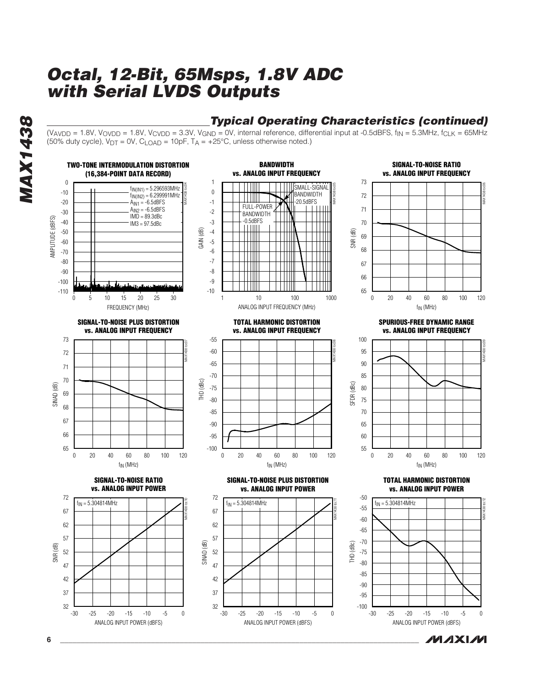## **Typical Operating Characteristics (continued)**

 $(V_{AVDD} = 1.8V, V_{OVDD} = 1.8V, V_{CVDD} = 3.3V, V_{GND} = 0V,$  internal reference, differential input at -0.5dBFS,  $f_{IN} = 5.3MHz$ ,  $f_{CLK} = 65MHz$ (50% duty cycle),  $V_{DT} = 0V$ ,  $C_{LOAD} = 10pF$ ,  $T_A = +25°C$ , unless otherwise noted.)



**MAXM** 

**MAX1438 MAX1438** 

**6 \_\_\_\_\_\_\_\_\_\_\_\_\_\_\_\_\_\_\_\_\_\_\_\_\_\_\_\_\_\_\_\_\_\_\_\_\_\_\_\_\_\_\_\_\_\_\_\_\_\_\_\_\_\_\_\_\_\_\_\_\_\_\_\_\_\_\_\_\_\_\_\_\_\_\_\_\_\_\_\_\_\_\_\_\_\_\_**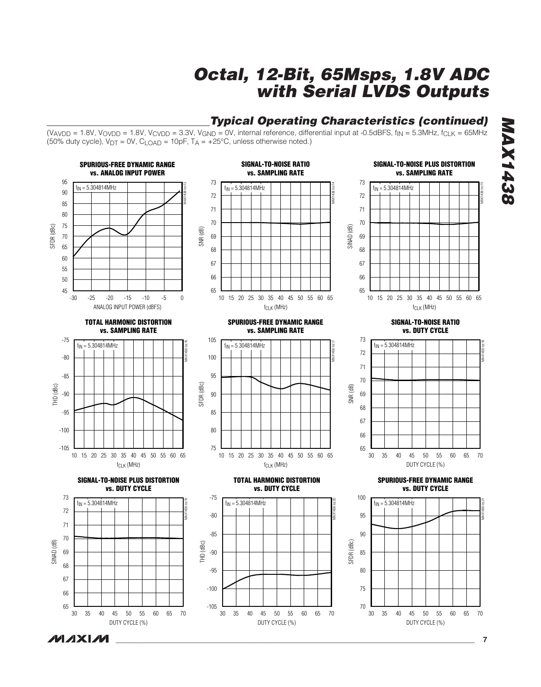## **Typical Operating Characteristics (continued)**

 $(V_{AVDD} = 1.8V, V_{OVDD} = 1.8V, V_{CVDD} = 3.3V, V_{GND} = 0V,$  internal reference, differential input at -0.5dBFS, f<sub>IN</sub> = 5.3MHz, f<sub>CLK</sub> = 65MHz  $(50\%$  duty cycle),  $V_{DT} = 0V$ ,  $C_{LOAD} = 10pF$ ,  $T_A = +25^{\circ}C$ , unless otherwise noted.)



**MAXM** 

**MAX1438 MAX1438**



**\_\_\_\_\_\_\_\_\_\_\_\_\_\_\_\_\_\_\_\_\_\_\_\_\_\_\_\_\_\_\_\_\_\_\_\_\_\_\_\_\_\_\_\_\_\_\_\_\_\_\_\_\_\_\_\_\_\_\_\_\_\_\_\_\_\_\_\_\_\_\_\_\_\_\_\_\_\_\_\_\_\_\_\_\_\_\_ 7**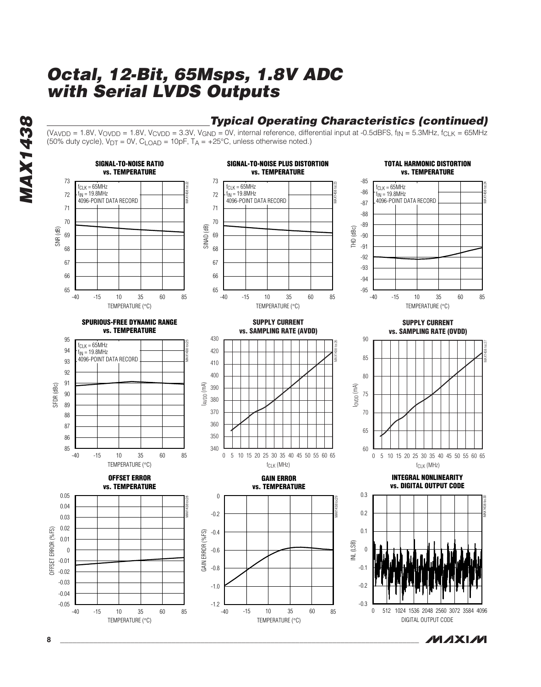## **Typical Operating Characteristics (continued)**

 $(V_{AVDD} = 1.8V, V_{OVDD} = 1.8V, V_{CVDD} = 3.3V, V_{GND} = 0V,$  internal reference, differential input at -0.5dBFS, f<sub>IN</sub> = 5.3MHz, f<sub>CLK</sub> = 65MHz  $(50\%$  duty cycle),  $V_{DT} = 0V$ ,  $C_{LOAD} = 10pF$ ,  $T_A = +25^{\circ}C$ , unless otherwise noted.)





**8 \_\_\_\_\_\_\_\_\_\_\_\_\_\_\_\_\_\_\_\_\_\_\_\_\_\_\_\_\_\_\_\_\_\_\_\_\_\_\_\_\_\_\_\_\_\_\_\_\_\_\_\_\_\_\_\_\_\_\_\_\_\_\_\_\_\_\_\_\_\_\_\_\_\_\_\_\_\_\_\_\_\_\_\_\_\_\_**

**MAX1438**

**MAX1438**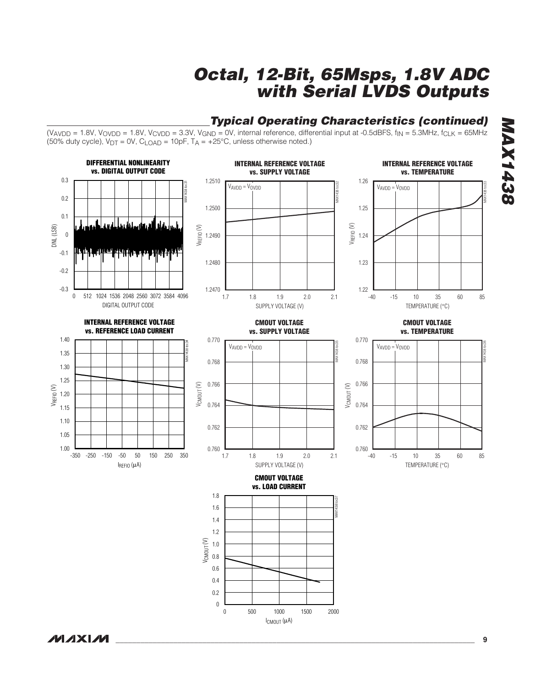

 $(V_{AVDD} = 1.8V, V_{OVDD} = 1.8V, V_{CVDD} = 3.3V, V_{GND} = 0V,$  internal reference, differential input at -0.5dBFS,  $f_{IN} = 5.3MHz$ ,  $f_{CLK} = 65MHz$  $(50\%$  duty cycle),  $V_{DT} = 0V$ , C<sub>LOAD</sub> = 10pF, T<sub>A</sub> = +25°C, unless otherwise noted.)



**MAX1438 MAX1438**

**MAXM**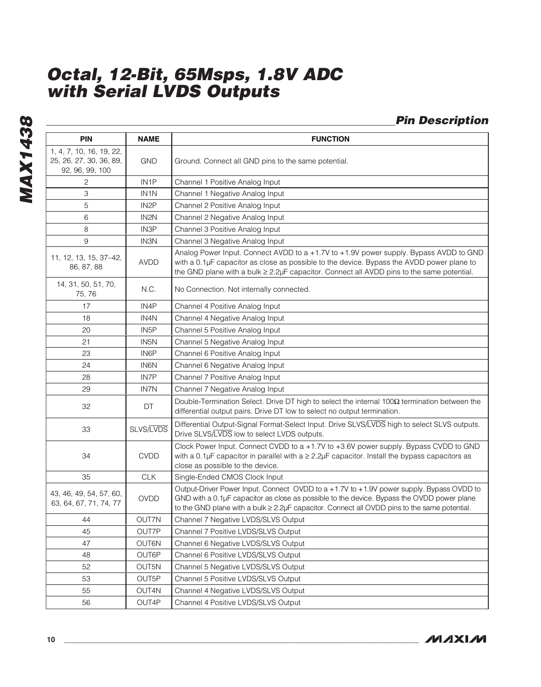**MAX1438 MAX1438**

|                 | <b>Pin Description</b> |
|-----------------|------------------------|
| <b>FUNCTION</b> |                        |
|                 |                        |

| <b>PIN</b>                                                             | <b>NAME</b>       | <b>FUNCTION</b>                                                                                                                                                                                                                                                                        |
|------------------------------------------------------------------------|-------------------|----------------------------------------------------------------------------------------------------------------------------------------------------------------------------------------------------------------------------------------------------------------------------------------|
| 1, 4, 7, 10, 16, 19, 22,<br>25, 26, 27, 30, 36, 89,<br>92, 96, 99, 100 | GND               | Ground. Connect all GND pins to the same potential.                                                                                                                                                                                                                                    |
| 2                                                                      | IN <sub>1</sub> P | Channel 1 Positive Analog Input                                                                                                                                                                                                                                                        |
| 3                                                                      | IN <sub>1</sub> N | Channel 1 Negative Analog Input                                                                                                                                                                                                                                                        |
| 5                                                                      | IN <sub>2</sub> P | Channel 2 Positive Analog Input                                                                                                                                                                                                                                                        |
| 6                                                                      | IN <sub>2</sub> N | Channel 2 Negative Analog Input                                                                                                                                                                                                                                                        |
| 8                                                                      | IN <sub>3</sub> P | Channel 3 Positive Analog Input                                                                                                                                                                                                                                                        |
| 9                                                                      | IN3N              | Channel 3 Negative Analog Input                                                                                                                                                                                                                                                        |
| 11, 12, 13, 15, 37-42,<br>86, 87, 88                                   | AVDD              | Analog Power Input. Connect AVDD to a +1.7V to +1.9V power supply. Bypass AVDD to GND<br>with a 0.1µF capacitor as close as possible to the device. Bypass the AVDD power plane to<br>the GND plane with a bulk ≥ 2.2µF capacitor. Connect all AVDD pins to the same potential.        |
| 14, 31, 50, 51, 70,<br>75, 76                                          | N.C.              | No Connection. Not internally connected.                                                                                                                                                                                                                                               |
| 17                                                                     | IN4P              | Channel 4 Positive Analog Input                                                                                                                                                                                                                                                        |
| 18                                                                     | IN4N              | Channel 4 Negative Analog Input                                                                                                                                                                                                                                                        |
| 20                                                                     | IN <sub>5</sub> P | Channel 5 Positive Analog Input                                                                                                                                                                                                                                                        |
| 21                                                                     | IN5N              | Channel 5 Negative Analog Input                                                                                                                                                                                                                                                        |
| 23                                                                     | IN6P              | Channel 6 Positive Analog Input                                                                                                                                                                                                                                                        |
| 24                                                                     | <b>IN6N</b>       | Channel 6 Negative Analog Input                                                                                                                                                                                                                                                        |
| 28                                                                     | IN7P              | Channel 7 Positive Analog Input                                                                                                                                                                                                                                                        |
| 29                                                                     | IN7N              | Channel 7 Negative Analog Input                                                                                                                                                                                                                                                        |
| 32                                                                     | DT                | Double-Termination Select. Drive DT high to select the internal $100\Omega$ termination between the<br>differential output pairs. Drive DT low to select no output termination.                                                                                                        |
| 33                                                                     | SLVS/LVDS         | Differential Output-Signal Format-Select Input. Drive SLVS/LVDS high to select SLVS outputs.<br>Drive SLVS/LVDS low to select LVDS outputs.                                                                                                                                            |
| 34                                                                     | <b>CVDD</b>       | Clock Power Input. Connect CVDD to a +1.7V to +3.6V power supply. Bypass CVDD to GND<br>with a 0.1µF capacitor in parallel with $a \ge 2.2\mu$ F capacitor. Install the bypass capacitors as<br>close as possible to the device.                                                       |
| 35                                                                     | <b>CLK</b>        | Single-Ended CMOS Clock Input                                                                                                                                                                                                                                                          |
| 43, 46, 49, 54, 57, 60,<br>63, 64, 67, 71, 74, 77                      | <b>OVDD</b>       | Output-Driver Power Input. Connect OVDD to a +1.7V to +1.9V power supply. Bypass OVDD to<br>GND with a 0.1µF capacitor as close as possible to the device. Bypass the OVDD power plane<br>to the GND plane with a bulk ≥ 2.2µF capacitor. Connect all OVDD pins to the same potential. |
| 44                                                                     | OUT7N             | Channel 7 Negative LVDS/SLVS Output                                                                                                                                                                                                                                                    |
| 45                                                                     | OUT7P             | Channel 7 Positive LVDS/SLVS Output                                                                                                                                                                                                                                                    |
| 47                                                                     | OUT6N             | Channel 6 Negative LVDS/SLVS Output                                                                                                                                                                                                                                                    |
| 48                                                                     | OUT6P             | Channel 6 Positive LVDS/SLVS Output                                                                                                                                                                                                                                                    |
| 52                                                                     | OUT5N             | Channel 5 Negative LVDS/SLVS Output                                                                                                                                                                                                                                                    |
| 53                                                                     | OUT5P             | Channel 5 Positive LVDS/SLVS Output                                                                                                                                                                                                                                                    |
| 55                                                                     | OUT4N             | Channel 4 Negative LVDS/SLVS Output                                                                                                                                                                                                                                                    |
| 56                                                                     | OUT4P             | Channel 4 Positive LVDS/SLVS Output                                                                                                                                                                                                                                                    |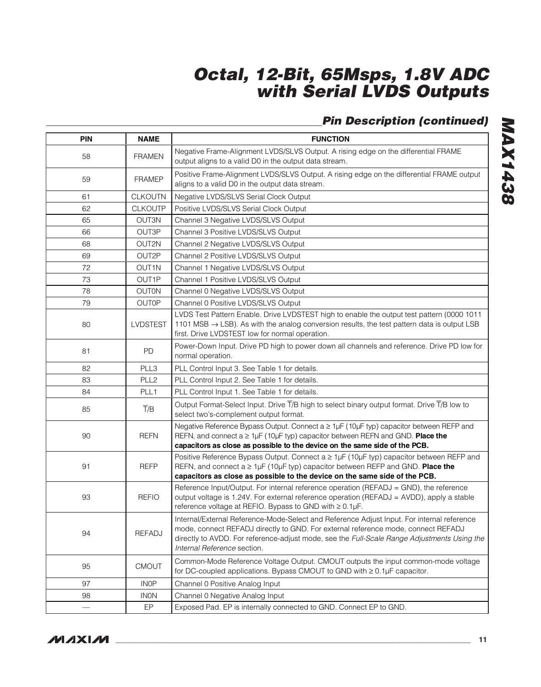## **Pin Description (continued)**

| <b>PIN</b> | <b>NAME</b>      | <b>FUNCTION</b>                                                                                                                                                                                                                                                                                               |  |  |  |  |
|------------|------------------|---------------------------------------------------------------------------------------------------------------------------------------------------------------------------------------------------------------------------------------------------------------------------------------------------------------|--|--|--|--|
| 58         | <b>FRAMEN</b>    | Negative Frame-Alignment LVDS/SLVS Output. A rising edge on the differential FRAME<br>output aligns to a valid D0 in the output data stream.                                                                                                                                                                  |  |  |  |  |
| 59         | <b>FRAMEP</b>    | Positive Frame-Alignment LVDS/SLVS Output. A rising edge on the differential FRAME output<br>aligns to a valid D0 in the output data stream.                                                                                                                                                                  |  |  |  |  |
| 61         | <b>CLKOUTN</b>   | Negative LVDS/SLVS Serial Clock Output                                                                                                                                                                                                                                                                        |  |  |  |  |
| 62         | <b>CLKOUTP</b>   | Positive LVDS/SLVS Serial Clock Output                                                                                                                                                                                                                                                                        |  |  |  |  |
| 65         | <b>OUT3N</b>     | Channel 3 Negative LVDS/SLVS Output                                                                                                                                                                                                                                                                           |  |  |  |  |
| 66         | OUT3P            | Channel 3 Positive LVDS/SLVS Output                                                                                                                                                                                                                                                                           |  |  |  |  |
| 68         | OUT2N            | Channel 2 Negative LVDS/SLVS Output                                                                                                                                                                                                                                                                           |  |  |  |  |
| 69         | OUT2P            | Channel 2 Positive LVDS/SLVS Output                                                                                                                                                                                                                                                                           |  |  |  |  |
| 72         | OUT1N            | Channel 1 Negative LVDS/SLVS Output                                                                                                                                                                                                                                                                           |  |  |  |  |
| 73         | OUT1P            | Channel 1 Positive LVDS/SLVS Output                                                                                                                                                                                                                                                                           |  |  |  |  |
| 78         | <b>OUTON</b>     | Channel 0 Negative LVDS/SLVS Output                                                                                                                                                                                                                                                                           |  |  |  |  |
| 79         | <b>OUTOP</b>     | Channel 0 Positive LVDS/SLVS Output                                                                                                                                                                                                                                                                           |  |  |  |  |
| 80         | <b>LVDSTEST</b>  | LVDS Test Pattern Enable. Drive LVDSTEST high to enable the output test pattern (0000 1011<br>1101 MSB $\rightarrow$ LSB). As with the analog conversion results, the test pattern data is output LSB<br>first. Drive LVDSTEST low for normal operation.                                                      |  |  |  |  |
| 81         | PD.              | Power-Down Input. Drive PD high to power down all channels and reference. Drive PD low for<br>normal operation.                                                                                                                                                                                               |  |  |  |  |
| 82         | PLL3             | PLL Control Input 3. See Table 1 for details.                                                                                                                                                                                                                                                                 |  |  |  |  |
| 83         | PLL <sub>2</sub> | PLL Control Input 2. See Table 1 for details.                                                                                                                                                                                                                                                                 |  |  |  |  |
| 84         | PLL <sub>1</sub> | PLL Control Input 1. See Table 1 for details.                                                                                                                                                                                                                                                                 |  |  |  |  |
| 85         | $\overline{T}/B$ | Output Format-Select Input. Drive T/B high to select binary output format. Drive T/B low to<br>select two's-complement output format.                                                                                                                                                                         |  |  |  |  |
| 90         | <b>REFN</b>      | Negative Reference Bypass Output. Connect a ≥ 1µF (10µF typ) capacitor between REFP and<br>REFN, and connect $a \geq 1$ µF (10µF typ) capacitor between REFN and GND. Place the<br>capacitors as close as possible to the device on the same side of the PCB.                                                 |  |  |  |  |
| 91         | <b>REFP</b>      | Positive Reference Bypass Output. Connect $a \geq 1$ µF (10µF typ) capacitor between REFP and<br>REFN, and connect $a \geq 1\mu$ F (10 $\mu$ F typ) capacitor between REFP and GND. Place the<br>capacitors as close as possible to the device on the same side of the PCB.                                   |  |  |  |  |
| 93         | <b>REFIO</b>     | Reference Input/Output. For internal reference operation (REFADJ = GND), the reference<br>output voltage is 1.24V. For external reference operation (REFADJ = AVDD), apply a stable<br>reference voltage at REFIO. Bypass to GND with ≥ 0.1µF.                                                                |  |  |  |  |
| 94         | <b>REFADJ</b>    | Internal/External Reference-Mode-Select and Reference Adjust Input. For internal reference<br>mode, connect REFADJ directly to GND. For external reference mode, connect REFADJ<br>directly to AVDD. For reference-adjust mode, see the Full-Scale Range Adjustments Using the<br>Internal Reference section. |  |  |  |  |
| 95         | <b>CMOUT</b>     | Common-Mode Reference Voltage Output. CMOUT outputs the input common-mode voltage<br>for DC-coupled applications. Bypass CMOUT to GND with ≥ 0.1µF capacitor.                                                                                                                                                 |  |  |  |  |
| 97         | <b>INOP</b>      | Channel 0 Positive Analog Input                                                                                                                                                                                                                                                                               |  |  |  |  |
| 98         | <b>INON</b>      | Channel 0 Negative Analog Input                                                                                                                                                                                                                                                                               |  |  |  |  |
|            | EP               | Exposed Pad. EP is internally connected to GND. Connect EP to GND.                                                                                                                                                                                                                                            |  |  |  |  |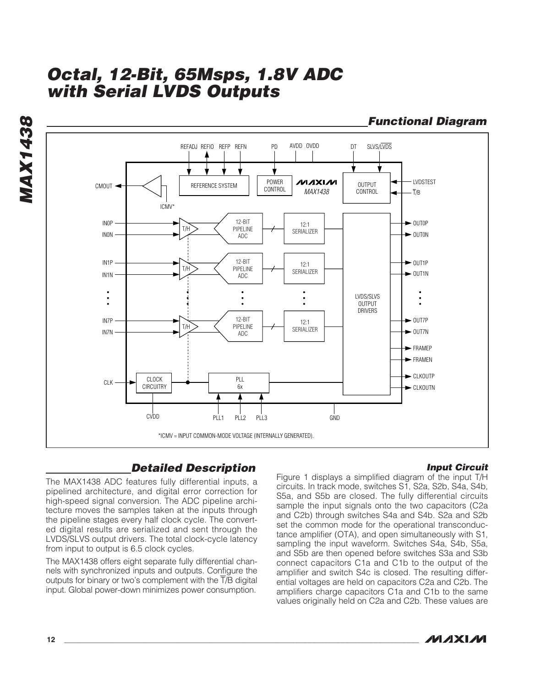**Functional Diagram**REFADJ REFIO REFP REFN PD AVDD OVDD DT SLVS/LVDS AVDD OVDD  $DT$ LVDSTEST POWER **NUXXI/VI** OUTPUT<br>CONTROL CMOUT · REFERENCE SYSTEM **CONTROL** *MAX1438* T/B **ICMV** 12-BIT  $\blacktriangleright$  OUTOP IN0P 12:1 PIPELINE T/H **SERIALIZER**  $\rightarrow$  OUTON IN0N ADC 12-BIT  $\rightarrow$  OUT1P IN1P  $12.1$ PIPELINE T/H SERIALIZER  $\rightarrow$  OUT1N IN1N ADC  $\bullet$ LVDS/SLVS OUTPUT ٠  $\ddot{\phantom{a}}$ **DRIVERS** 12-BIT  $\blacktriangleright$  OUT7P IN7P  $12.1$ T/H PIPELINE SERIALIZER IN7N  $\rightarrow$  OUT7N ADC  $\blacktriangleright$  FRAMEP FRAMEN  $\blacktriangleright$  CLKOUTP CLOCK PLL CLK **CIRCUITRY** 6x  $\blacktriangleright$  CLKOUTN CVDD PLL1 PLL2 PLL3 GND \*ICMV = INPUT COMMON-MODE VOLTAGE (INTERNALLY GENERATED).

## **Detailed Description**

**Input Circuit**

The MAX1438 ADC features fully differential inputs, a pipelined architecture, and digital error correction for high-speed signal conversion. The ADC pipeline architecture moves the samples taken at the inputs through the pipeline stages every half clock cycle. The converted digital results are serialized and sent through the LVDS/SLVS output drivers. The total clock-cycle latency from input to output is 6.5 clock cycles.

The MAX1438 offers eight separate fully differential channels with synchronized inputs and outputs. Configure the outputs for binary or two's complement with the  $\overline{T}/B$  digital input. Global power-down minimizes power consumption.

Figure 1 displays a simplified diagram of the input T/H circuits. In track mode, switches S1, S2a, S2b, S4a, S4b, S5a, and S5b are closed. The fully differential circuits sample the input signals onto the two capacitors (C2a and C2b) through switches S4a and S4b. S2a and S2b set the common mode for the operational transconductance amplifier (OTA), and open simultaneously with S1, sampling the input waveform. Switches S4a, S4b, S5a, and S5b are then opened before switches S3a and S3b connect capacitors C1a and C1b to the output of the amplifier and switch S4c is closed. The resulting differential voltages are held on capacitors C2a and C2b. The amplifiers charge capacitors C1a and C1b to the same values originally held on C2a and C2b. These values are



# **MAX1438 MAX1438**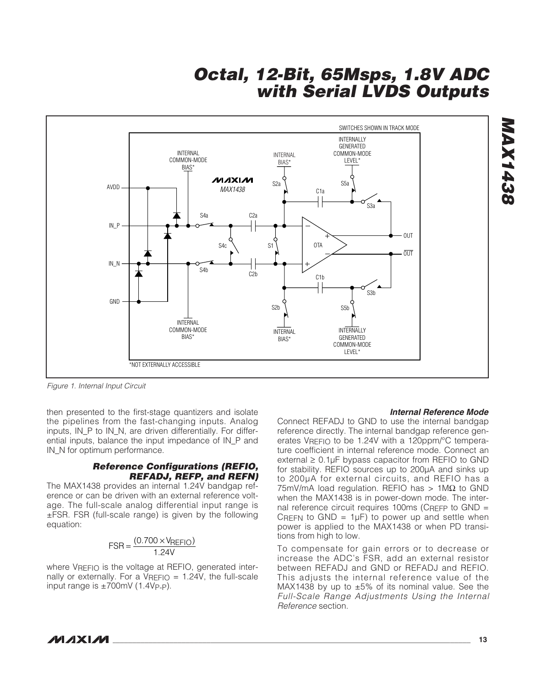

Figure 1. Internal Input Circuit

then presented to the first-stage quantizers and isolate the pipelines from the fast-changing inputs. Analog inputs, IN\_P to IN\_N, are driven differentially. For differential inputs, balance the input impedance of IN\_P and IN\_N for optimum performance.

#### **Reference Configurations (REFIO, REFADJ, REFP, and REFN)**

The MAX1438 provides an internal 1.24V bandgap reference or can be driven with an external reference voltage. The full-scale analog differential input range is ±FSR. FSR (full-scale range) is given by the following equation:

$$
FSR = \frac{(0.700 \times V_{REFIO})}{1.24V}
$$

where VREFIO is the voltage at REFIO, generated internally or externally. For a  $V<sub>REFIO</sub> = 1.24V$ , the full-scale input range is  $\pm 700$ mV (1.4Vp-p).

#### **Internal Reference Mode**

Connect REFADJ to GND to use the internal bandgap reference directly. The internal bandgap reference generates VREFIO to be 1.24V with a 120ppm/°C temperature coefficient in internal reference mode. Connect an external  $\geq 0.1$ µF bypass capacitor from REFIO to GND for stability. REFIO sources up to 200µA and sinks up to 200µA for external circuits, and REFIO has a  $75mV/mA$  load regulation. REFIO has > 1M $\Omega$  to GND when the MAX1438 is in power-down mode. The internal reference circuit requires 100ms (CRFFP to GND  $=$ CREFN to GND =  $1\mu$ F) to power up and settle when power is applied to the MAX1438 or when PD transitions from high to low.

To compensate for gain errors or to decrease or increase the ADC's FSR, add an external resistor between REFADJ and GND or REFADJ and REFIO. This adjusts the internal reference value of the MAX1438 by up to  $\pm 5\%$  of its nominal value. See the Full-Scale Range Adjustments Using the Internal Reference section.

**\_\_\_\_\_\_\_\_\_\_\_\_\_\_\_\_\_\_\_\_\_\_\_\_\_\_\_\_\_\_\_\_\_\_\_\_\_\_\_\_\_\_\_\_\_\_\_\_\_\_\_\_\_\_\_\_\_\_\_\_\_\_\_\_\_\_\_\_\_\_\_\_\_\_\_\_\_\_\_\_\_\_\_\_\_\_\_\_\_\_\_\_\_\_\_\_\_\_\_\_\_\_ 13**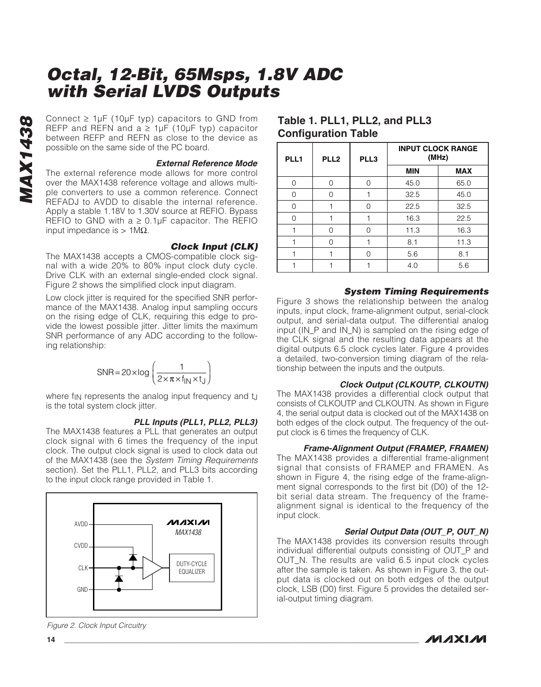Connect  $\geq 1 \mu F$  ( $10 \mu F$  typ) capacitors to GND from<br>
REFP and REFN and  $a \geq 1 \mu F$  ( $10 \mu F$  typ) capacitor<br>
between REFP and REFN as close to the device as<br>
possible on the same side of the PC board.<br> **External Refere** REFP and REFN and  $a \geq 1 \mu$ F (10 $\mu$ F typ) capacitor between REFP and REFN as close to the device as possible on the same side of the PC board.

#### **External Reference Mode**

The external reference mode allows for more control over the MAX1438 reference voltage and allows multiple converters to use a common reference. Connect REFADJ to AVDD to disable the internal reference. Apply a stable 1.18V to 1.30V source at REFIO. Bypass REFIO to GND with  $a \ge 0.1$ µF capacitor. The REFIO input impedance is > 1MΩ.

#### **Clock Input (CLK)**

The MAX1438 accepts a CMOS-compatible clock signal with a wide 20% to 80% input clock duty cycle. Drive CLK with an external single-ended clock signal. Figure 2 shows the simplified clock input diagram.

Low clock jitter is required for the specified SNR performance of the MAX1438. Analog input sampling occurs on the rising edge of CLK, requiring this edge to provide the lowest possible jitter. Jitter limits the maximum SNR performance of any ADC according to the following relationship:

$$
SNR = 20 \times \log \left( \frac{1}{2 \times \pi \times f_{\text{IN}} \times t_{\text{J}}} \right)
$$

where f<sub>IN</sub> represents the analog input frequency and t<sub>J</sub> is the total system clock jitter.

#### **PLL Inputs (PLL1, PLL2, PLL3)**

The MAX1438 features a PLL that generates an output clock signal with 6 times the frequency of the input clock. The output clock signal is used to clock data out of the MAX1438 (see the System Timing Requirements section). Set the PLL1, PLL2, and PLL3 bits according to the input clock range provided in Table 1.



Figure 2. Clock Input Circuitry

### **Table 1. PLL1, PLL2, and PLL3 Configuration Table**

| PLL <sub>1</sub> | PLL <sub>2</sub> | PLL3 | <b>INPUT CLOCK RANGE</b><br>(MHz) |            |
|------------------|------------------|------|-----------------------------------|------------|
|                  |                  |      | <b>MIN</b>                        | <b>MAX</b> |
| Λ                | ∩                | ∩    | 45.0                              | 65.0       |
|                  | ∩                |      | 32.5                              | 45.0       |
|                  |                  | Λ    | 22.5                              | 32.5       |
|                  |                  |      | 16.3                              | 22.5       |
|                  | Ω                | Λ    | 11.3                              | 16.3       |
|                  | ∩                |      | 8.1                               | 11.3       |
|                  |                  |      | 5.6                               | 8.1        |
|                  |                  |      | 4.0                               | 5.6        |

#### **System Timing Requirements**

Figure 3 shows the relationship between the analog inputs, input clock, frame-alignment output, serial-clock output, and serial-data output. The differential analog input (IN\_P and IN\_N) is sampled on the rising edge of the CLK signal and the resulting data appears at the digital outputs 6.5 clock cycles later. Figure 4 provides a detailed, two-conversion timing diagram of the relationship between the inputs and the outputs.

#### **Clock Output (CLKOUTP, CLKOUTN)**

The MAX1438 provides a differential clock output that consists of CLKOUTP and CLKOUTN. As shown in Figure 4, the serial output data is clocked out of the MAX1438 on both edges of the clock output. The frequency of the output clock is 6 times the frequency of CLK.

#### **Frame-Alignment Output (FRAMEP, FRAMEN)**

The MAX1438 provides a differential frame-alignment signal that consists of FRAMEP and FRAMEN. As shown in Figure 4, the rising edge of the frame-alignment signal corresponds to the first bit (D0) of the 12 bit serial data stream. The frequency of the framealignment signal is identical to the frequency of the input clock.

#### **Serial Output Data (OUT\_P, OUT\_N)**

**MAXIM** 

The MAX1438 provides its conversion results through individual differential outputs consisting of OUT\_P and OUT\_N. The results are valid 6.5 input clock cycles after the sample is taken. As shown in Figure 3, the output data is clocked out on both edges of the output clock, LSB (D0) first. Figure 5 provides the detailed serial-output timing diagram.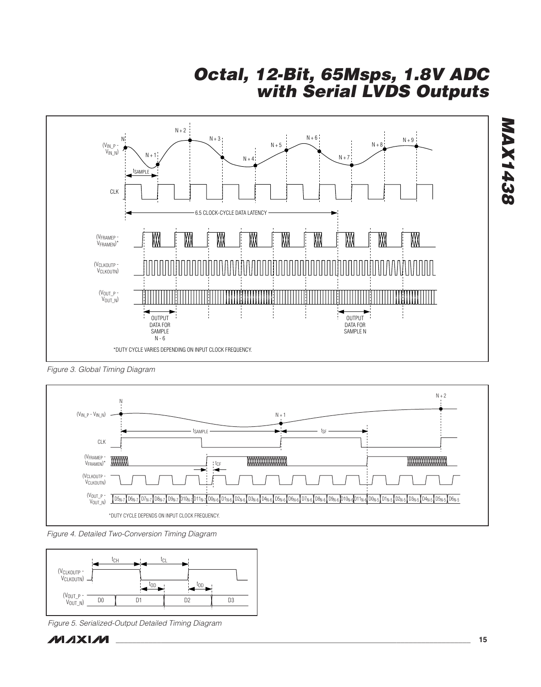

Figure 3. Global Timing Diagram



Figure 4. Detailed Two-Conversion Timing Diagram



Figure 5. Serialized-Output Detailed Timing Diagram



**MAX1438**

**MAX1438**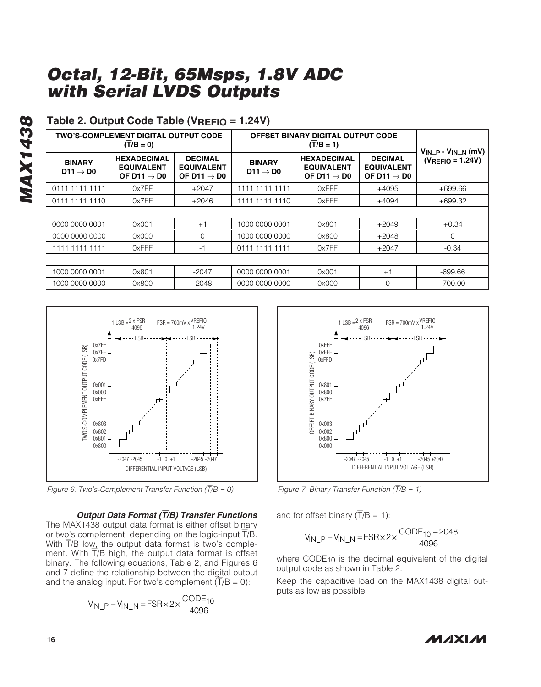## **Table 2. Output Code Table (VREFIO = 1.24V)**

|                                       | <b>TWO'S-COMPLEMENT DIGITAL OUTPUT CODE</b><br>$(\overline{T}/B=0)$ |                                                                | OFFSET BINARY DIGITAL OUTPUT CODE     | $V_{IN\_P}$ - $V_{IN\_N}$ (mV)                                     |                                                                |                       |  |
|---------------------------------------|---------------------------------------------------------------------|----------------------------------------------------------------|---------------------------------------|--------------------------------------------------------------------|----------------------------------------------------------------|-----------------------|--|
| <b>BINARY</b><br>$D11 \rightarrow D0$ | <b>HEXADECIMAL</b><br><b>EQUIVALENT</b><br>OF D11 $\rightarrow$ D0  | <b>DECIMAL</b><br><b>EQUIVALENT</b><br>OF D11 $\rightarrow$ D0 | <b>BINARY</b><br>$D11 \rightarrow D0$ | <b>HEXADECIMAL</b><br><b>EQUIVALENT</b><br>OF D11 $\rightarrow$ D0 | <b>DECIMAL</b><br><b>EQUIVALENT</b><br>OF D11 $\rightarrow$ D0 | $(V_{REFIO} = 1.24V)$ |  |
| 0111 1111 1111                        | 0x7FF                                                               | $+2047$                                                        | 1111 1111 1111                        | 0xFFF                                                              | +4095                                                          | $+699.66$             |  |
| 0111 1111 1110                        | 0x7FE                                                               | $+2046$                                                        | 1111 1111 1110                        | 0xFFE                                                              | $+4094$                                                        | $+699.32$             |  |
|                                       |                                                                     |                                                                |                                       |                                                                    |                                                                |                       |  |
| 0000 0000 0001                        | 0x001                                                               | $+1$                                                           | 1000 0000 0001                        | 0x801                                                              | $+2049$                                                        | $+0.34$               |  |
| 0000 0000 0000                        | 0x000                                                               | $\Omega$                                                       | 1000 0000 0000                        | 0x800                                                              | $+2048$                                                        | $\Omega$              |  |
| 1111 1111 1111                        | 0xFFF                                                               | -1                                                             | 0111 1111 1111                        | 0x7FF                                                              | $+2047$                                                        | $-0.34$               |  |
|                                       |                                                                     |                                                                |                                       |                                                                    |                                                                |                       |  |
| 1000 0000 0001                        | 0x801                                                               | $-2047$                                                        | 0000 0000 0001                        | 0x001                                                              | $+1$                                                           | $-699.66$             |  |
| 1000 0000 0000                        | 0x800                                                               | $-2048$                                                        | 0000 0000 0000                        | 0x000                                                              | 0                                                              | $-700.00$             |  |



Figure 6. Two's-Complement Transfer Function ( $\overline{T}/B = 0$ )

#### **Output Data Format (**T**/B) Transfer Functions**

The MAX1438 output data format is either offset binary or two's complement, depending on the logic-input T/B. With  $\overline{T}/B$  low, the output data format is two's complement. With  $\overline{T}/B$  high, the output data format is offset binary. The following equations, Table 2, and Figures 6 and 7 define the relationship between the digital output and the analog input. For two's complement  $(T/B = 0)$ :

$$
V_{IN\_P} - V_{IN\_N} = FSR \times 2 \times \frac{CODE_{10}}{4096}
$$



Figure 7. Binary Transfer Function ( $\overline{T}/B = 1$ )

and for offset binary  $(\overline{T}/B = 1)$ :

$$
V_{1N\_P} - V_{1N\_N} = FSR \times 2 \times \frac{CODE_{10} - 2048}{4096}
$$

where  $CODE_{10}$  is the decimal equivalent of the digital output code as shown in Table 2.

Keep the capacitive load on the MAX1438 digital outputs as low as possible.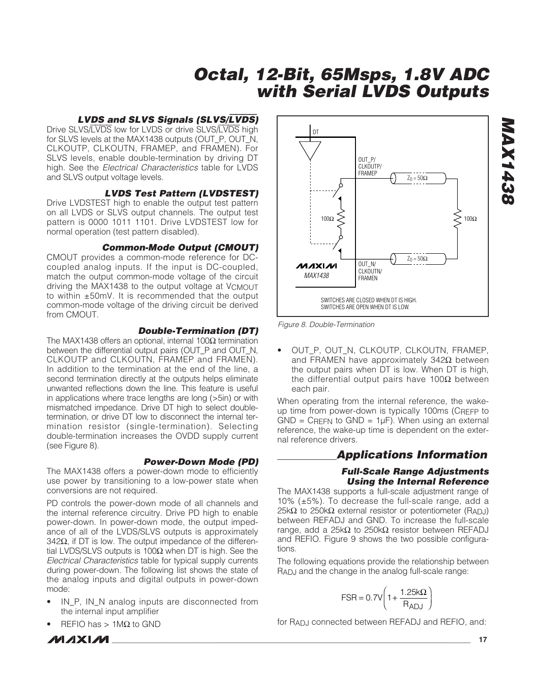#### **LVDS and SLVS Signals (SLVS/**LVDS**)**

Drive SLVS/LVDS low for LVDS or drive SLVS/LVDS high for SLVS levels at the MAX1438 outputs (OUT\_P, OUT\_N, CLKOUTP, CLKOUTN, FRAMEP, and FRAMEN). For SLVS levels, enable double-termination by driving DT high. See the *Electrical Characteristics* table for LVDS and SLVS output voltage levels.

#### **LVDS Test Pattern (LVDSTEST)**

Drive LVDSTEST high to enable the output test pattern on all LVDS or SLVS output channels. The output test pattern is 0000 1011 1101. Drive LVDSTEST low for normal operation (test pattern disabled).

#### **Common-Mode Output (CMOUT)**

CMOUT provides a common-mode reference for DCcoupled analog inputs. If the input is DC-coupled, match the output common-mode voltage of the circuit driving the MAX1438 to the output voltage at VCMOUT to within ±50mV. It is recommended that the output common-mode voltage of the driving circuit be derived from CMOUT.

#### **Double-Termination (DT)**

The MAX1438 offers an optional, internal 100 $\Omega$  termination between the differential output pairs (OUT\_P and OUT\_N, CLKOUTP and CLKOUTN, FRAMEP and FRAMEN). In addition to the termination at the end of the line, a second termination directly at the outputs helps eliminate unwanted reflections down the line. This feature is useful in applications where trace lengths are long (>5in) or with mismatched impedance. Drive DT high to select doubletermination, or drive DT low to disconnect the internal termination resistor (single-termination). Selecting double-termination increases the OVDD supply current (see Figure 8).

#### **Power-Down Mode (PD)**

The MAX1438 offers a power-down mode to efficiently use power by transitioning to a low-power state when conversions are not required.

PD controls the power-down mode of all channels and the internal reference circuitry. Drive PD high to enable power-down. In power-down mode, the output impedance of all of the LVDS/SLVS outputs is approximately 342 $Ω$ , if DT is low. The output impedance of the differential LVDS/SLVS outputs is 100 $Ω$  when DT is high. See the Electrical Characteristics table for typical supply currents during power-down. The following list shows the state of the analog inputs and digital outputs in power-down mode:

- IN\_P, IN\_N analog inputs are disconnected from the internal input amplifier
- REFIO has  $> 1$ MΩ to GND

**\_\_\_\_\_\_\_\_\_\_\_\_\_\_\_\_\_\_\_\_\_\_\_\_\_\_\_\_\_\_\_\_\_\_\_\_\_\_\_\_\_\_\_\_\_\_\_\_\_\_\_\_\_\_\_\_\_\_\_\_\_\_\_\_\_\_\_\_\_\_\_\_\_\_\_\_\_\_\_\_\_\_\_\_\_\_\_\_\_\_\_\_\_\_\_\_\_\_\_\_\_\_ 17**



Figure 8. Double-Termination

• OUT P, OUT N, CLKOUTP, CLKOUTN, FRAMEP, and FRAMEN have approximately 342Ω between the output pairs when DT is low. When DT is high, the differential output pairs have 100Ω between each pair.

When operating from the internal reference, the wakeup time from power-down is typically 100ms (CREFP to  $GND = C$ REFN to  $GND = 1\mu F$ ). When using an external reference, the wake-up time is dependent on the external reference drivers.

### **Applications Information**

#### **Full-Scale Range Adjustments Using the Internal Reference**

The MAX1438 supports a full-scale adjustment range of 10% (±5%). To decrease the full-scale range, add a 25kΩ to 250kΩ external resistor or potentiometer (RADJ) between REFADJ and GND. To increase the full-scale range, add a 25kΩ to 250kΩ resistor between REFADJ and REFIO. Figure 9 shows the two possible configurations.

The following equations provide the relationship between RADJ and the change in the analog full-scale range:

$$
FSR = 0.7V \left( 1 + \frac{1.25k\Omega}{R_{ADJ}} \right)
$$

for R<sub>AD</sub>, connected between REFADJ and REFIO, and: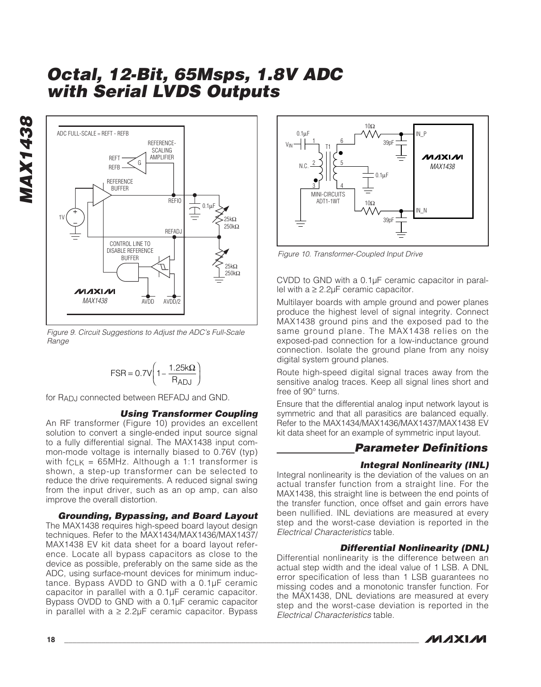

Figure 9. Circuit Suggestions to Adjust the ADC's Full-Scale Range

$$
FSR = 0.7V \left(1 - \frac{1.25k\Omega}{R_{ADJ}}\right)
$$

for RADJ connected between REFADJ and GND.

#### **Using Transformer Coupling**

An RF transformer (Figure 10) provides an excellent solution to convert a single-ended input source signal to a fully differential signal. The MAX1438 input common-mode voltage is internally biased to 0.76V (typ) with  $f_{CLK}$  = 65MHz. Although a 1:1 transformer is shown, a step-up transformer can be selected to reduce the drive requirements. A reduced signal swing from the input driver, such as an op amp, can also improve the overall distortion.

#### **Grounding, Bypassing, and Board Layout**

The MAX1438 requires high-speed board layout design techniques. Refer to the MAX1434/MAX1436/MAX1437/ MAX1438 EV kit data sheet for a board layout reference. Locate all bypass capacitors as close to the device as possible, preferably on the same side as the ADC, using surface-mount devices for minimum inductance. Bypass AVDD to GND with a 0.1µF ceramic capacitor in parallel with a 0.1µF ceramic capacitor. Bypass OVDD to GND with a 0.1µF ceramic capacitor in parallel with  $a \geq 2.2$ uF ceramic capacitor. Bypass



Figure 10. Transformer-Coupled Input Drive

CVDD to GND with a 0.1µF ceramic capacitor in parallel with  $a ≥ 2.2\mu$ F ceramic capacitor.

Multilayer boards with ample ground and power planes produce the highest level of signal integrity. Connect MAX1438 ground pins and the exposed pad to the same ground plane. The MAX1438 relies on the exposed-pad connection for a low-inductance ground connection. Isolate the ground plane from any noisy digital system ground planes.

Route high-speed digital signal traces away from the sensitive analog traces. Keep all signal lines short and free of 90° turns.

Ensure that the differential analog input network layout is symmetric and that all parasitics are balanced equally. Refer to the MAX1434/MAX1436/MAX1437/MAX1438 EV kit data sheet for an example of symmetric input layout.

## **Parameter Definitions**

#### **Integral Nonlinearity (INL)**

Integral nonlinearity is the deviation of the values on an actual transfer function from a straight line. For the MAX1438, this straight line is between the end points of the transfer function, once offset and gain errors have been nullified. INL deviations are measured at every step and the worst-case deviation is reported in the Electrical Characteristics table.

#### **Differential Nonlinearity (DNL)**

Differential nonlinearity is the difference between an actual step width and the ideal value of 1 LSB. A DNL error specification of less than 1 LSB guarantees no missing codes and a monotonic transfer function. For the MAX1438, DNL deviations are measured at every step and the worst-case deviation is reported in the Electrical Characteristics table.

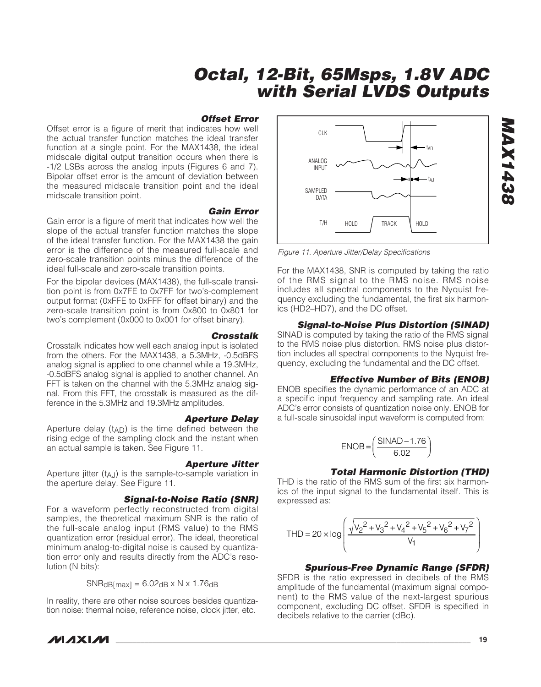#### **Offset Error**

Offset error is a figure of merit that indicates how well the actual transfer function matches the ideal transfer function at a single point. For the MAX1438, the ideal midscale digital output transition occurs when there is -1/2 LSBs across the analog inputs (Figures 6 and 7). Bipolar offset error is the amount of deviation between the measured midscale transition point and the ideal midscale transition point.

#### **Gain Error**

Gain error is a figure of merit that indicates how well the slope of the actual transfer function matches the slope of the ideal transfer function. For the MAX1438 the gain error is the difference of the measured full-scale and zero-scale transition points minus the difference of the ideal full-scale and zero-scale transition points.

For the bipolar devices (MAX1438), the full-scale transition point is from 0x7FE to 0x7FF for two's-complement output format (0xFFE to 0xFFF for offset binary) and the zero-scale transition point is from 0x800 to 0x801 for two's complement (0x000 to 0x001 for offset binary).

**Crosstalk** Crosstalk indicates how well each analog input is isolated from the others. For the MAX1438, a 5.3MHz, -0.5dBFS analog signal is applied to one channel while a 19.3MHz, -0.5dBFS analog signal is applied to another channel. An FFT is taken on the channel with the 5.3MHz analog signal. From this FFT, the crosstalk is measured as the difference in the 5.3MHz and 19.3MHz amplitudes.

#### **Aperture Delay**

Aperture delay  $(t_{AD})$  is the time defined between the rising edge of the sampling clock and the instant when an actual sample is taken. See Figure 11.

#### **Aperture Jitter**

Aperture jitter (tAJ) is the sample-to-sample variation in the aperture delay. See Figure 11.

#### **Signal-to-Noise Ratio (SNR)**

For a waveform perfectly reconstructed from digital samples, the theoretical maximum SNR is the ratio of the full-scale analog input (RMS value) to the RMS quantization error (residual error). The ideal, theoretical minimum analog-to-digital noise is caused by quantization error only and results directly from the ADC's resolution (N bits):

 $SNR<sub>d</sub>B<sub>[max]</sub> = 6.02<sub>d</sub>B × N × 1.76<sub>d</sub>B$ 

In reality, there are other noise sources besides quantization noise: thermal noise, reference noise, clock jitter, etc.



Figure 11. Aperture Jitter/Delay Specifications

For the MAX1438, SNR is computed by taking the ratio of the RMS signal to the RMS noise. RMS noise includes all spectral components to the Nyquist frequency excluding the fundamental, the first six harmonics (HD2–HD7), and the DC offset.

#### **Signal-to-Noise Plus Distortion (SINAD)**

SINAD is computed by taking the ratio of the RMS signal to the RMS noise plus distortion. RMS noise plus distortion includes all spectral components to the Nyquist frequency, excluding the fundamental and the DC offset.

#### **Effective Number of Bits (ENOB)**

ENOB specifies the dynamic performance of an ADC at a specific input frequency and sampling rate. An ideal ADC's error consists of quantization noise only. ENOB for a full-scale sinusoidal input waveform is computed from:

$$
ENOB = \left(\frac{SINAD - 1.76}{6.02}\right)
$$

#### **Total Harmonic Distortion (THD)**

THD is the ratio of the RMS sum of the first six harmonics of the input signal to the fundamental itself. This is expressed as:

$$
\text{THD} = 20 \times \log \left( \frac{\sqrt{{V_2}^2 + {V_3}^2 + {V_4}^2 + {V_5}^2 + {V_6}^2 + {V_7}^2}}{V_1} \right)
$$

#### **Spurious-Free Dynamic Range (SFDR)**

SFDR is the ratio expressed in decibels of the RMS amplitude of the fundamental (maximum signal component) to the RMS value of the next-largest spurious component, excluding DC offset. SFDR is specified in decibels relative to the carrier (dBc).

**MAXM**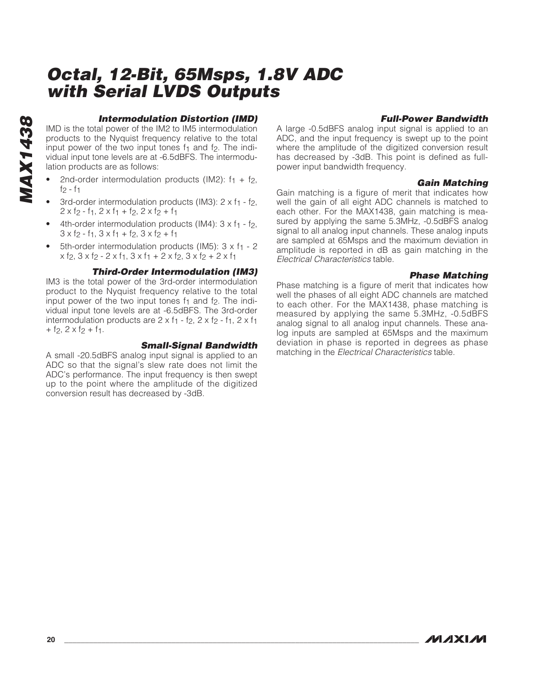# **MAX1438 MAX1438**

#### **Intermodulation Distortion (IMD)**

IMD is the total power of the IM2 to IM5 intermodulation products to the Nyquist frequency relative to the total input power of the two input tones  $f_1$  and  $f_2$ . The individual input tone levels are at -6.5dBFS. The intermodulation products are as follows:

- 2nd-order intermodulation products (IM2):  $f_1 + f_2$ ,  $f_2 - f_1$
- 3rd-order intermodulation products (IM3):  $2 \times f_1 f_2$ ,  $2 \times f$  - f<sub>1</sub>,  $2 \times f$ <sub>1</sub> + f<sub>2</sub>,  $2 \times f$ <sub>2</sub> + f<sub>1</sub>
- 4th-order intermodulation products (IM4):  $3 \times f_1 f_2$ ,  $3 \times f_2 - f_1$ ,  $3 \times f_1 + f_2$ ,  $3 \times f_2 + f_1$
- 5th-order intermodulation products (IM5):  $3 \times f_1 2$  $x$  f<sub>2</sub>,  $3x$  f<sub>2</sub> -  $2x$  f<sub>1</sub>,  $3x$  f<sub>1</sub> +  $2x$  f<sub>2</sub>,  $3x$  f<sub>2</sub> +  $2x$  f<sub>1</sub>

#### **Third-Order Intermodulation (IM3)**

IM3 is the total power of the 3rd-order intermodulation product to the Nyquist frequency relative to the total input power of the two input tones  $f_1$  and  $f_2$ . The individual input tone levels are at -6.5dBFS. The 3rd-order intermodulation products are  $2 \times f_1 - f_2$ ,  $2 \times f_2 - f_1$ ,  $2 \times f_1$  $+$  f<sub>2</sub>,  $2 \times f$ <sub>2</sub> + f<sub>1</sub>.

#### **Small-Signal Bandwidth**

A small -20.5dBFS analog input signal is applied to an ADC so that the signal's slew rate does not limit the ADC's performance. The input frequency is then swept up to the point where the amplitude of the digitized conversion result has decreased by -3dB.

#### **Full-Power Bandwidth**

A large -0.5dBFS analog input signal is applied to an ADC, and the input frequency is swept up to the point where the amplitude of the digitized conversion result has decreased by -3dB. This point is defined as fullpower input bandwidth frequency.

#### **Gain Matching**

Gain matching is a figure of merit that indicates how well the gain of all eight ADC channels is matched to each other. For the MAX1438, gain matching is measured by applying the same 5.3MHz, -0.5dBFS analog signal to all analog input channels. These analog inputs are sampled at 65Msps and the maximum deviation in amplitude is reported in dB as gain matching in the Electrical Characteristics table.

#### **Phase Matching**

Phase matching is a figure of merit that indicates how well the phases of all eight ADC channels are matched to each other. For the MAX1438, phase matching is measured by applying the same 5.3MHz, -0.5dBFS analog signal to all analog input channels. These analog inputs are sampled at 65Msps and the maximum deviation in phase is reported in degrees as phase matching in the Electrical Characteristics table.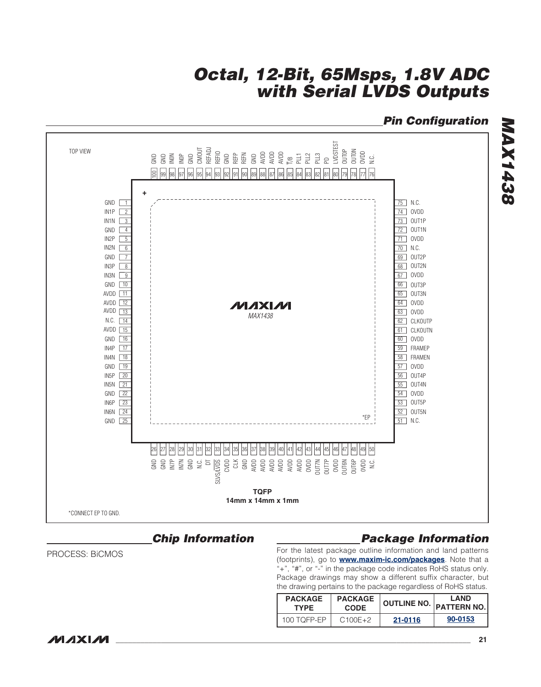## **Pin Configuration**



### **Chip Information**

PROCESS: BiCMOS

## **Package Information**

For the latest package outline information and land patterns (footprints), go to **[www.maxim-ic.com/packages](http://www.maxim-ic.com/packages)**. Note that a "+", "#", or "-" in the package code indicates RoHS status only. Package drawings may show a different suffix character, but the drawing pertains to the package regardless of RoHS status.

| <b>PACKAGE</b> | <b>PACKAGE</b> |         | <b>LAND</b>               |  |
|----------------|----------------|---------|---------------------------|--|
| <b>TYPF</b>    | <b>CODE</b>    |         | OUTLINE NO.   PATTERN NO. |  |
| 100 TOFP-FP    | $C100E+2$      | 21-0116 | 90-0153                   |  |